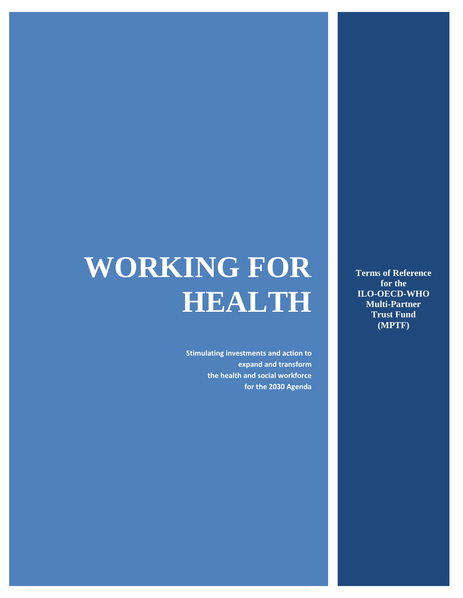# **WORKING FOR HEALTH**

**Stimulating investments and action to expand and transform the health and social workforce for the 2030 Agenda** 

**Terms of Reference for the ILO-OECD-WHO Multi-Partner Trust Fund (MPTF)**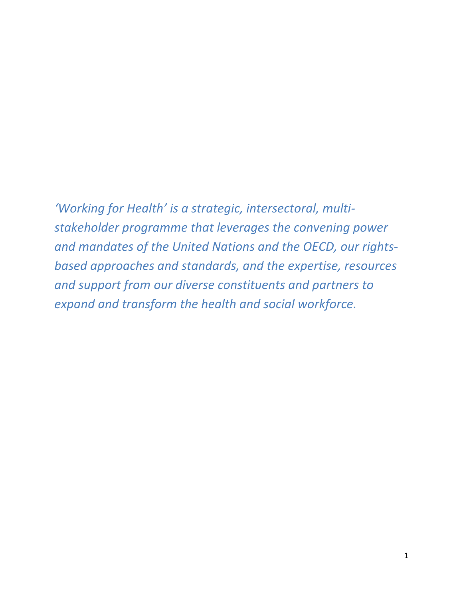*'Working for Health' is a strategic, intersectoral, multistakeholder programme that leverages the convening power and mandates of the United Nations and the OECD, our rightsbased approaches and standards, and the expertise, resources and support from our diverse constituents and partners to expand and transform the health and social workforce.*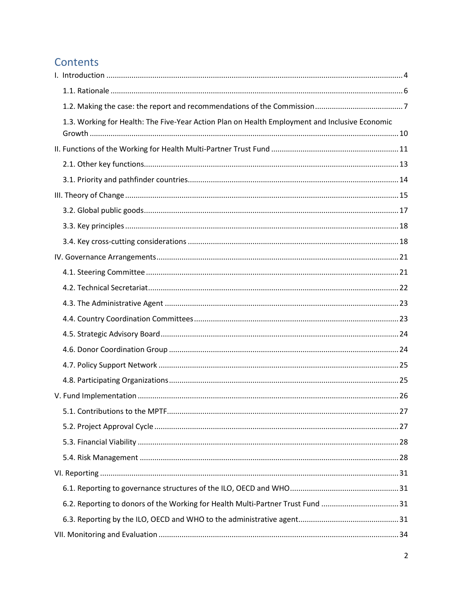## Contents

| 1.3. Working for Health: The Five-Year Action Plan on Health Employment and Inclusive Economic |    |
|------------------------------------------------------------------------------------------------|----|
|                                                                                                |    |
|                                                                                                |    |
|                                                                                                |    |
|                                                                                                |    |
|                                                                                                |    |
|                                                                                                |    |
|                                                                                                |    |
|                                                                                                |    |
|                                                                                                |    |
|                                                                                                |    |
|                                                                                                |    |
|                                                                                                |    |
|                                                                                                |    |
|                                                                                                |    |
|                                                                                                |    |
|                                                                                                |    |
|                                                                                                |    |
|                                                                                                |    |
| 5.1. Contributions to the MPTF                                                                 | 27 |
|                                                                                                |    |
|                                                                                                |    |
|                                                                                                |    |
|                                                                                                |    |
|                                                                                                |    |
| 6.2. Reporting to donors of the Working for Health Multi-Partner Trust Fund 31                 |    |
|                                                                                                |    |
|                                                                                                |    |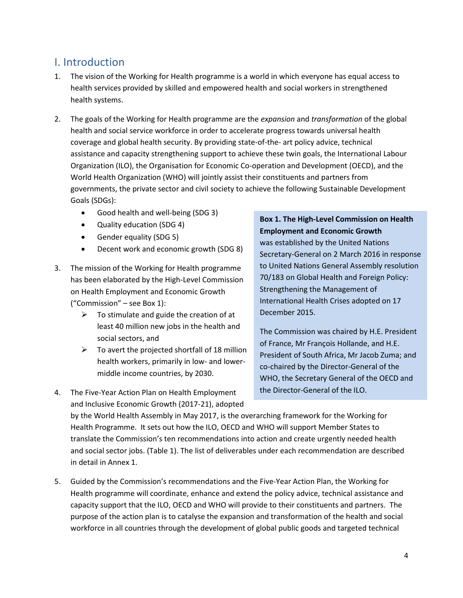## <span id="page-4-0"></span>I. Introduction

- 1. The vision of the Working for Health programme is a world in which everyone has equal access to health services provided by skilled and empowered health and social workers in strengthened health systems.
- 2. The goals of the Working for Health programme are the *expansion* and *transformation* of the global health and social service workforce in order to accelerate progress towards universal health coverage and global health security. By providing state-of-the- art policy advice, technical assistance and capacity strengthening support to achieve these twin goals, the International Labour Organization (ILO), the Organisation for Economic Co-operation and Development (OECD), and the World Health Organization (WHO) will jointly assist their constituents and partners from governments, the private sector and civil society to achieve the following Sustainable Development Goals (SDGs):
	- Good health and well-being (SDG 3)
	- Quality education (SDG 4)
	- Gender equality (SDG 5)
	- Decent work and economic growth (SDG 8)
- 3. The mission of the Working for Health programme has been elaborated by the High-Level Commission on Health Employment and Economic Growth ("Commission" – see Box 1):
	- $\triangleright$  To stimulate and guide the creation of at least 40 million new jobs in the health and social sectors, and
	- $\triangleright$  To avert the projected shortfall of 18 million health workers, primarily in low- and lowermiddle income countries, by 2030.
- 4. The Five-Year Action Plan on Health Employment and Inclusive Economic Growth (2017-21), adopted

#### **Box 1. The High-Level Commission on Health Employment and Economic Growth**

was established by the United Nations Secretary-General on 2 March 2016 in response to United Nations General Assembly resolution 70/183 on Global Health and Foreign Policy: Strengthening the Management of International Health Crises adopted on 17 December 2015.

The Commission was chaired by H.E. President of France, Mr François Hollande, and H.E. President of South Africa, Mr Jacob Zuma; and co-chaired by the Director-General of the WHO, the Secretary General of the OECD and the Director-General of the ILO.

by the World Health Assembly in May 2017, is the overarching framework for the Working for Health Programme. It sets out how the ILO, OECD and WHO will support Member States to translate the Commission's ten recommendations into action and create urgently needed health and social sector jobs. (Table 1). The list of deliverables under each recommendation are described in detail in Annex 1.

5. Guided by the Commission's recommendations and the Five-Year Action Plan, the Working for Health programme will coordinate, enhance and extend the policy advice, technical assistance and capacity support that the ILO, OECD and WHO will provide to their constituents and partners. The purpose of the action plan is to catalyse the expansion and transformation of the health and social workforce in all countries through the development of global public goods and targeted technical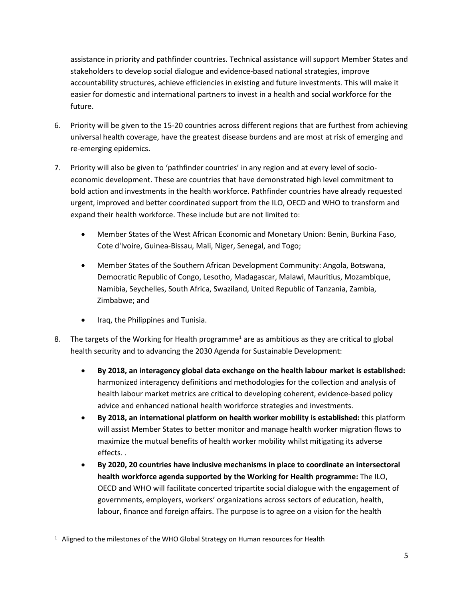assistance in priority and pathfinder countries. Technical assistance will support Member States and stakeholders to develop social dialogue and evidence-based national strategies, improve accountability structures, achieve efficiencies in existing and future investments. This will make it easier for domestic and international partners to invest in a health and social workforce for the future.

- 6. Priority will be given to the 15-20 countries across different regions that are furthest from achieving universal health coverage, have the greatest disease burdens and are most at risk of emerging and re-emerging epidemics.
- 7. Priority will also be given to 'pathfinder countries' in any region and at every level of socioeconomic development. These are countries that have demonstrated high level commitment to bold action and investments in the health workforce. Pathfinder countries have already requested urgent, improved and better coordinated support from the ILO, OECD and WHO to transform and expand their health workforce. These include but are not limited to:
	- Member States of the West African Economic and Monetary Union: Benin, Burkina Faso, Cote d'Ivoire, Guinea-Bissau, Mali, Niger, Senegal, and Togo;
	- Member States of the Southern African Development Community: Angola, Botswana, Democratic Republic of Congo, Lesotho, Madagascar, Malawi, Mauritius, Mozambique, Namibia, Seychelles, South Africa, Swaziland, United Republic of Tanzania, Zambia, Zimbabwe; and
	- Iraq, the Philippines and Tunisia.

 $\overline{a}$ 

- 8. The targets of the Working for Health programme<sup>1</sup> are as ambitious as they are critical to global health security and to advancing the 2030 Agenda for Sustainable Development:
	- **By 2018, an interagency global data exchange on the health labour market is established:**  harmonized interagency definitions and methodologies for the collection and analysis of health labour market metrics are critical to developing coherent, evidence-based policy advice and enhanced national health workforce strategies and investments.
	- **By 2018, an international platform on health worker mobility is established:** this platform will assist Member States to better monitor and manage health worker migration flows to maximize the mutual benefits of health worker mobility whilst mitigating its adverse effects. .
	- **By 2020, 20 countries have inclusive mechanisms in place to coordinate an intersectoral health workforce agenda supported by the Working for Health programme:** The ILO, OECD and WHO will facilitate concerted tripartite social dialogue with the engagement of governments, employers, workers' organizations across sectors of education, health, labour, finance and foreign affairs. The purpose is to agree on a vision for the health

 $1$  Aligned to the milestones of the WHO Global Strategy on Human resources for Health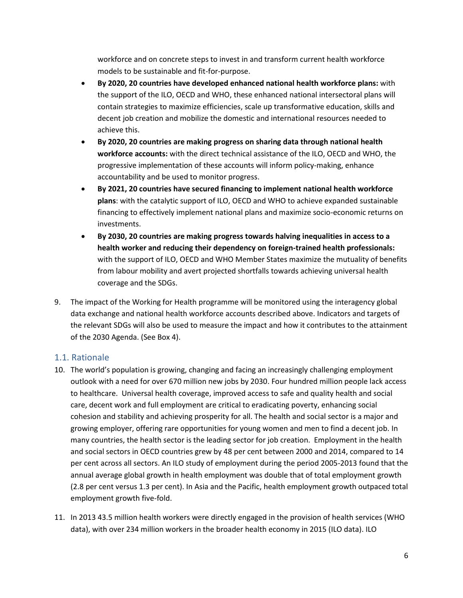workforce and on concrete steps to invest in and transform current health workforce models to be sustainable and fit-for-purpose.

- **By 2020, 20 countries have developed enhanced national health workforce plans:** with the support of the ILO, OECD and WHO, these enhanced national intersectoral plans will contain strategies to maximize efficiencies, scale up transformative education, skills and decent job creation and mobilize the domestic and international resources needed to achieve this.
- **By 2020, 20 countries are making progress on sharing data through national health workforce accounts:** with the direct technical assistance of the ILO, OECD and WHO, the progressive implementation of these accounts will inform policy-making, enhance accountability and be used to monitor progress.
- **By 2021, 20 countries have secured financing to implement national health workforce plans**: with the catalytic support of ILO, OECD and WHO to achieve expanded sustainable financing to effectively implement national plans and maximize socio-economic returns on investments.
- **By 2030, 20 countries are making progress towards halving inequalities in access to a health worker and reducing their dependency on foreign-trained health professionals:**  with the support of ILO, OECD and WHO Member States maximize the mutuality of benefits from labour mobility and avert projected shortfalls towards achieving universal health coverage and the SDGs.
- 9. The impact of the Working for Health programme will be monitored using the interagency global data exchange and national health workforce accounts described above. Indicators and targets of the relevant SDGs will also be used to measure the impact and how it contributes to the attainment of the 2030 Agenda. (See Box 4).

#### <span id="page-6-0"></span>1.1. Rationale

- 10. The world's population is growing, changing and facing an increasingly challenging employment outlook with a need for over 670 million new jobs by 2030. Four hundred million people lack access to healthcare. Universal health coverage, improved access to safe and quality health and social care, decent work and full employment are critical to eradicating poverty, enhancing social cohesion and stability and achieving prosperity for all. The health and social sector is a major and growing employer, offering rare opportunities for young women and men to find a decent job. In many countries, the health sector is the leading sector for job creation. Employment in the health and social sectors in OECD countries grew by 48 per cent between 2000 and 2014, compared to 14 per cent across all sectors. An ILO study of employment during the period 2005-2013 found that the annual average global growth in health employment was double that of total employment growth (2.8 per cent versus 1.3 per cent). In Asia and the Pacific, health employment growth outpaced total employment growth five-fold.
- 11. In 2013 43.5 million health workers were directly engaged in the provision of health services (WHO data), with over 234 million workers in the broader health economy in 2015 (ILO data). ILO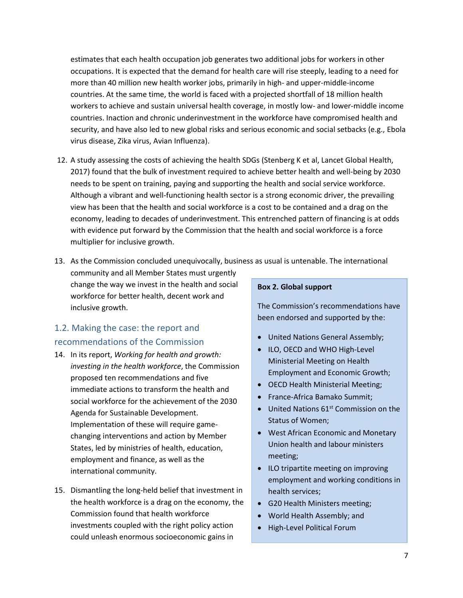estimates that each health occupation job generates two additional jobs for workers in other occupations. It is expected that the demand for health care will rise steeply, leading to a need for more than 40 million new health worker jobs, primarily in high- and upper-middle-income countries. At the same time, the world is faced with a projected shortfall of 18 million health workers to achieve and sustain universal health coverage, in mostly low- and lower-middle income countries. Inaction and chronic underinvestment in the workforce have compromised health and security, and have also led to new global risks and serious economic and social setbacks (e.g., Ebola virus disease, Zika virus, Avian Influenza).

- 12. A study assessing the costs of achieving the health SDGs (Stenberg K et al, Lancet Global Health, 2017) found that the bulk of investment required to achieve better health and well-being by 2030 needs to be spent on training, paying and supporting the health and social service workforce. Although a vibrant and well-functioning health sector is a strong economic driver, the prevailing view has been that the health and social workforce is a cost to be contained and a drag on the economy, leading to decades of underinvestment. This entrenched pattern of financing is at odds with evidence put forward by the Commission that the health and social workforce is a force multiplier for inclusive growth.
- 13. As the Commission concluded unequivocally, business as usual is untenable. The international

community and all Member States must urgently change the way we invest in the health and social workforce for better health, decent work and inclusive growth.

## <span id="page-7-0"></span>1.2. Making the case: the report and recommendations of the Commission

- 14. In its report, *Working for health and growth: investing in the health workforce*, the Commission proposed ten recommendations and five immediate actions to transform the health and social workforce for the achievement of the 2030 Agenda for Sustainable Development. Implementation of these will require gamechanging interventions and action by Member States, led by ministries of health, education, employment and finance, as well as the international community.
- 15. Dismantling the long-held belief that investment in the health workforce is a drag on the economy, the Commission found that health workforce investments coupled with the right policy action could unleash enormous socioeconomic gains in

#### **Box 2. Global support**

The Commission's recommendations have been endorsed and supported by the:

- United Nations General Assembly;
- ILO, OECD and WHO High-Level Ministerial Meeting on Health Employment and Economic Growth;
- OECD Health Ministerial Meeting;
- France-Africa Bamako Summit;
- $\bullet$  United Nations 61<sup>st</sup> Commission on the Status of Women;
- West African Economic and Monetary Union health and labour ministers meeting;
- ILO tripartite meeting on improving employment and working conditions in health services;
- G20 Health Ministers meeting;
- World Health Assembly; and
- High-Level Political Forum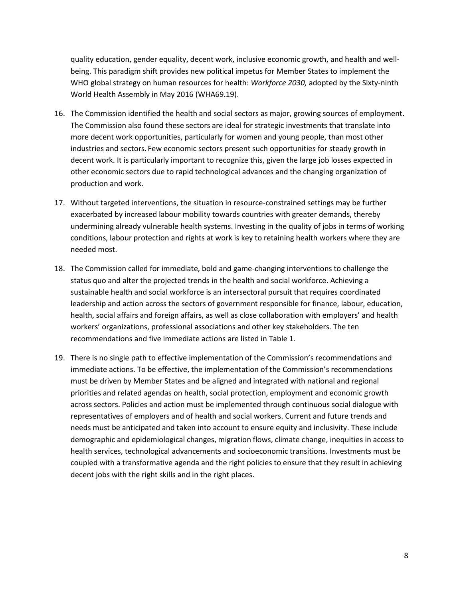quality education, gender equality, decent work, inclusive economic growth, and health and wellbeing. This paradigm shift provides new political impetus for Member States to implement the WHO global strategy on human resources for health: *Workforce 2030,* adopted by the Sixty-ninth World Health Assembly in May 2016 (WHA69.19).

- 16. The Commission identified the health and social sectors as major, growing sources of employment. The Commission also found these sectors are ideal for strategic investments that translate into more decent work opportunities, particularly for women and young people, than most other industries and sectors. Few economic sectors present such opportunities for steady growth in decent work. It is particularly important to recognize this, given the large job losses expected in other economic sectors due to rapid technological advances and the changing organization of production and work.
- 17. Without targeted interventions, the situation in resource-constrained settings may be further exacerbated by increased labour mobility towards countries with greater demands, thereby undermining already vulnerable health systems. Investing in the quality of jobs in terms of working conditions, labour protection and rights at work is key to retaining health workers where they are needed most.
- 18. The Commission called for immediate, bold and game-changing interventions to challenge the status quo and alter the projected trends in the health and social workforce. Achieving a sustainable health and social workforce is an intersectoral pursuit that requires coordinated leadership and action across the sectors of government responsible for finance, labour, education, health, social affairs and foreign affairs, as well as close collaboration with employers' and health workers' organizations, professional associations and other key stakeholders. The ten recommendations and five immediate actions are listed in Table 1.
- 19. There is no single path to effective implementation of the Commission's recommendations and immediate actions. To be effective, the implementation of the Commission's recommendations must be driven by Member States and be aligned and integrated with national and regional priorities and related agendas on health, social protection, employment and economic growth across sectors. Policies and action must be implemented through continuous social dialogue with representatives of employers and of health and social workers. Current and future trends and needs must be anticipated and taken into account to ensure equity and inclusivity. These include demographic and epidemiological changes, migration flows, climate change, inequities in access to health services, technological advancements and socioeconomic transitions. Investments must be coupled with a transformative agenda and the right policies to ensure that they result in achieving decent jobs with the right skills and in the right places.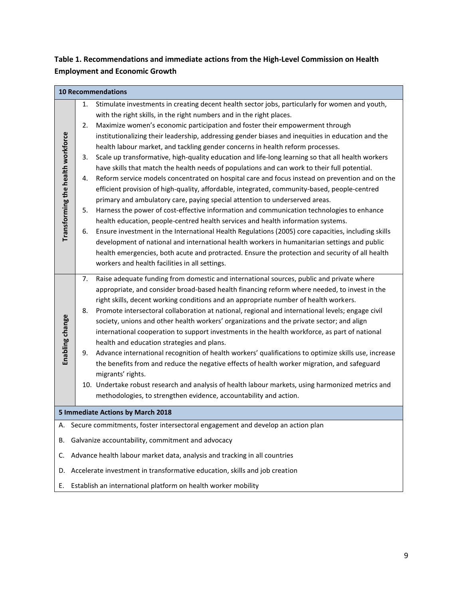### **Table 1. Recommendations and immediate actions from the High-Level Commission on Health Employment and Economic Growth**

|                                   |    | <b>10 Recommendations</b>                                                                            |
|-----------------------------------|----|------------------------------------------------------------------------------------------------------|
|                                   | 1. | Stimulate investments in creating decent health sector jobs, particularly for women and youth,       |
|                                   |    | with the right skills, in the right numbers and in the right places.                                 |
|                                   | 2. | Maximize women's economic participation and foster their empowerment through                         |
|                                   |    | institutionalizing their leadership, addressing gender biases and inequities in education and the    |
|                                   |    | health labour market, and tackling gender concerns in health reform processes.                       |
|                                   | 3. | Scale up transformative, high-quality education and life-long learning so that all health workers    |
|                                   |    | have skills that match the health needs of populations and can work to their full potential.         |
|                                   | 4. | Reform service models concentrated on hospital care and focus instead on prevention and on the       |
|                                   |    | efficient provision of high-quality, affordable, integrated, community-based, people-centred         |
|                                   |    | primary and ambulatory care, paying special attention to underserved areas.                          |
|                                   | 5. | Harness the power of cost-effective information and communication technologies to enhance            |
|                                   |    | health education, people-centred health services and health information systems.                     |
| Transforming the health workforce | 6. | Ensure investment in the International Health Regulations (2005) core capacities, including skills   |
|                                   |    | development of national and international health workers in humanitarian settings and public         |
|                                   |    | health emergencies, both acute and protracted. Ensure the protection and security of all health      |
|                                   |    | workers and health facilities in all settings.                                                       |
|                                   | 7. | Raise adequate funding from domestic and international sources, public and private where             |
|                                   |    | appropriate, and consider broad-based health financing reform where needed, to invest in the         |
|                                   |    | right skills, decent working conditions and an appropriate number of health workers.                 |
|                                   | 8. | Promote intersectoral collaboration at national, regional and international levels; engage civil     |
| Enabling change                   |    | society, unions and other health workers' organizations and the private sector; and align            |
|                                   |    | international cooperation to support investments in the health workforce, as part of national        |
|                                   |    | health and education strategies and plans.                                                           |
|                                   | 9. | Advance international recognition of health workers' qualifications to optimize skills use, increase |
|                                   |    | the benefits from and reduce the negative effects of health worker migration, and safeguard          |
|                                   |    | migrants' rights.                                                                                    |
|                                   |    | 10. Undertake robust research and analysis of health labour markets, using harmonized metrics and    |
|                                   |    | methodologies, to strengthen evidence, accountability and action.                                    |
|                                   |    | 5 Immediate Actions by March 2018                                                                    |
|                                   |    | Secure commitments, foster intersectoral engagement and develop an action plan                       |
| В.                                |    | Galvanize accountability, commitment and advocacy                                                    |
| C.                                |    | Advance health labour market data, analysis and tracking in all countries                            |
| D.                                |    | Accelerate investment in transformative education, skills and job creation                           |
| Ε.                                |    | Establish an international platform on health worker mobility                                        |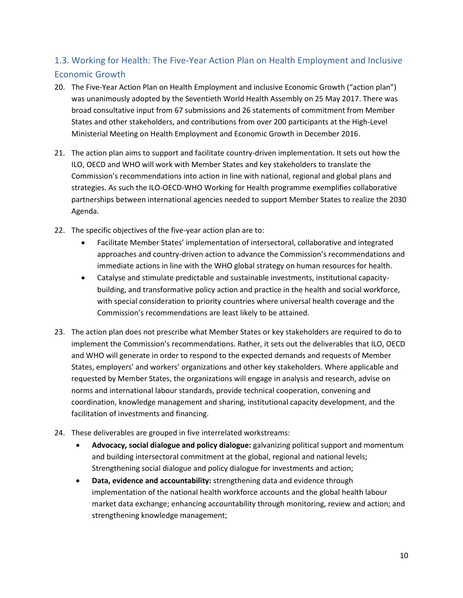## <span id="page-10-0"></span>1.3. Working for Health: The Five-Year Action Plan on Health Employment and Inclusive Economic Growth

- 20. The Five-Year Action Plan on Health Employment and inclusive Economic Growth ("action plan") was unanimously adopted by the Seventieth World Health Assembly on 25 May 2017. There was broad consultative input from 67 submissions and 26 statements of commitment from Member States and other stakeholders, and contributions from over 200 participants at the High-Level Ministerial Meeting on Health Employment and Economic Growth in December 2016.
- 21. The action plan aims to support and facilitate country-driven implementation. It sets out how the ILO, OECD and WHO will work with Member States and key stakeholders to translate the Commission's recommendations into action in line with national, regional and global plans and strategies. As such the ILO-OECD-WHO Working for Health programme exemplifies collaborative partnerships between international agencies needed to support Member States to realize the 2030 Agenda.
- 22. The specific objectives of the five-year action plan are to:
	- Facilitate Member States' implementation of intersectoral, collaborative and integrated approaches and country-driven action to advance the Commission's recommendations and immediate actions in line with the WHO global strategy on human resources for health.
	- Catalyse and stimulate predictable and sustainable investments, institutional capacitybuilding, and transformative policy action and practice in the health and social workforce, with special consideration to priority countries where universal health coverage and the Commission's recommendations are least likely to be attained.
- 23. The action plan does not prescribe what Member States or key stakeholders are required to do to implement the Commission's recommendations. Rather, it sets out the deliverables that ILO, OECD and WHO will generate in order to respond to the expected demands and requests of Member States, employers' and workers' organizations and other key stakeholders. Where applicable and requested by Member States, the organizations will engage in analysis and research, advise on norms and international labour standards, provide technical cooperation, convening and coordination, knowledge management and sharing, institutional capacity development, and the facilitation of investments and financing.
- 24. These deliverables are grouped in five interrelated workstreams:
	- **Advocacy, social dialogue and policy dialogue:** galvanizing political support and momentum and building intersectoral commitment at the global, regional and national levels; Strengthening social dialogue and policy dialogue for investments and action;
	- **Data, evidence and accountability:** strengthening data and evidence through implementation of the national health workforce accounts and the global health labour market data exchange; enhancing accountability through monitoring, review and action; and strengthening knowledge management;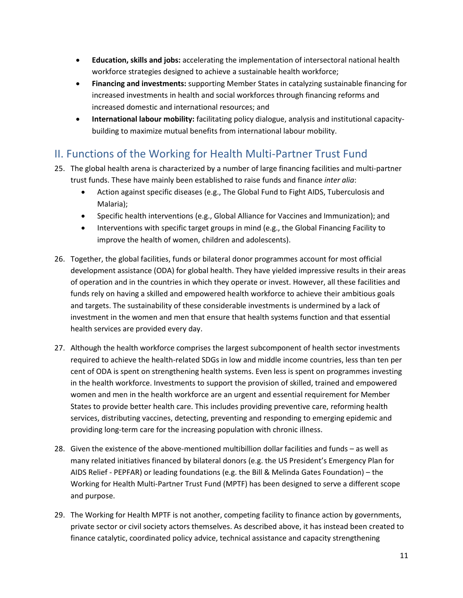- **Education, skills and jobs:** accelerating the implementation of intersectoral national health workforce strategies designed to achieve a sustainable health workforce;
- **Financing and investments:** supporting Member States in catalyzing sustainable financing for increased investments in health and social workforces through financing reforms and increased domestic and international resources; and
- **International labour mobility:** facilitating policy dialogue, analysis and institutional capacitybuilding to maximize mutual benefits from international labour mobility.

## <span id="page-11-0"></span>II. Functions of the Working for Health Multi-Partner Trust Fund

- 25. The global health arena is characterized by a number of large financing facilities and multi-partner trust funds. These have mainly been established to raise funds and finance *inter alia*:
	- Action against specific diseases (e.g., The Global Fund to Fight AIDS, Tuberculosis and Malaria);
	- Specific health interventions (e.g., Global Alliance for Vaccines and Immunization); and
	- Interventions with specific target groups in mind (e.g., the Global Financing Facility to improve the health of women, children and adolescents).
- 26. Together, the global facilities, funds or bilateral donor programmes account for most official development assistance (ODA) for global health. They have yielded impressive results in their areas of operation and in the countries in which they operate or invest. However, all these facilities and funds rely on having a skilled and empowered health workforce to achieve their ambitious goals and targets. The sustainability of these considerable investments is undermined by a lack of investment in the women and men that ensure that health systems function and that essential health services are provided every day.
- 27. Although the health workforce comprises the largest subcomponent of health sector investments required to achieve the health-related SDGs in low and middle income countries, less than ten per cent of ODA is spent on strengthening health systems. Even less is spent on programmes investing in the health workforce. Investments to support the provision of skilled, trained and empowered women and men in the health workforce are an urgent and essential requirement for Member States to provide better health care. This includes providing preventive care, reforming health services, distributing vaccines, detecting, preventing and responding to emerging epidemic and providing long-term care for the increasing population with chronic illness.
- 28. Given the existence of the above-mentioned multibillion dollar facilities and funds as well as many related initiatives financed by bilateral donors (e.g. the US President's Emergency Plan for AIDS Relief - PEPFAR) or leading foundations (e.g. the Bill & Melinda Gates Foundation) – the Working for Health Multi-Partner Trust Fund (MPTF) has been designed to serve a different scope and purpose.
- 29. The Working for Health MPTF is not another, competing facility to finance action by governments, private sector or civil society actors themselves. As described above, it has instead been created to finance catalytic, coordinated policy advice, technical assistance and capacity strengthening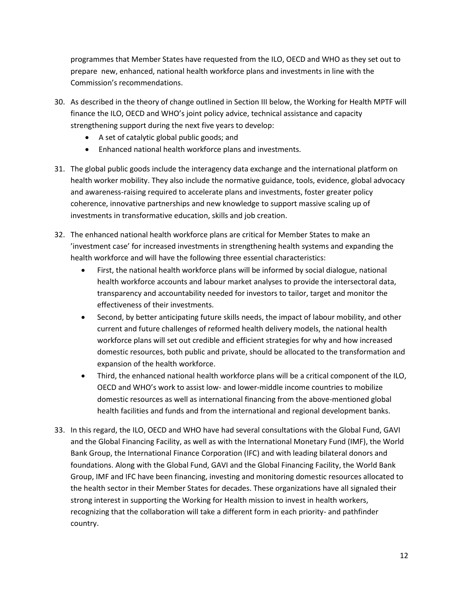programmes that Member States have requested from the ILO, OECD and WHO as they set out to prepare new, enhanced, national health workforce plans and investments in line with the Commission's recommendations.

- 30. As described in the theory of change outlined in Section III below, the Working for Health MPTF will finance the ILO, OECD and WHO's joint policy advice, technical assistance and capacity strengthening support during the next five years to develop:
	- A set of catalytic global public goods; and
	- Enhanced national health workforce plans and investments.
- 31. The global public goods include the interagency data exchange and the international platform on health worker mobility. They also include the normative guidance, tools, evidence, global advocacy and awareness-raising required to accelerate plans and investments, foster greater policy coherence, innovative partnerships and new knowledge to support massive scaling up of investments in transformative education, skills and job creation.
- 32. The enhanced national health workforce plans are critical for Member States to make an 'investment case' for increased investments in strengthening health systems and expanding the health workforce and will have the following three essential characteristics:
	- First, the national health workforce plans will be informed by social dialogue, national health workforce accounts and labour market analyses to provide the intersectoral data, transparency and accountability needed for investors to tailor, target and monitor the effectiveness of their investments.
	- Second, by better anticipating future skills needs, the impact of labour mobility, and other current and future challenges of reformed health delivery models, the national health workforce plans will set out credible and efficient strategies for why and how increased domestic resources, both public and private, should be allocated to the transformation and expansion of the health workforce.
	- Third, the enhanced national health workforce plans will be a critical component of the ILO, OECD and WHO's work to assist low- and lower-middle income countries to mobilize domestic resources as well as international financing from the above-mentioned global health facilities and funds and from the international and regional development banks.
- 33. In this regard, the ILO, OECD and WHO have had several consultations with the Global Fund, GAVI and the Global Financing Facility, as well as with the International Monetary Fund (IMF), the World Bank Group, the International Finance Corporation (IFC) and with leading bilateral donors and foundations. Along with the Global Fund, GAVI and the Global Financing Facility, the World Bank Group, IMF and IFC have been financing, investing and monitoring domestic resources allocated to the health sector in their Member States for decades. These organizations have all signaled their strong interest in supporting the Working for Health mission to invest in health workers, recognizing that the collaboration will take a different form in each priority- and pathfinder country.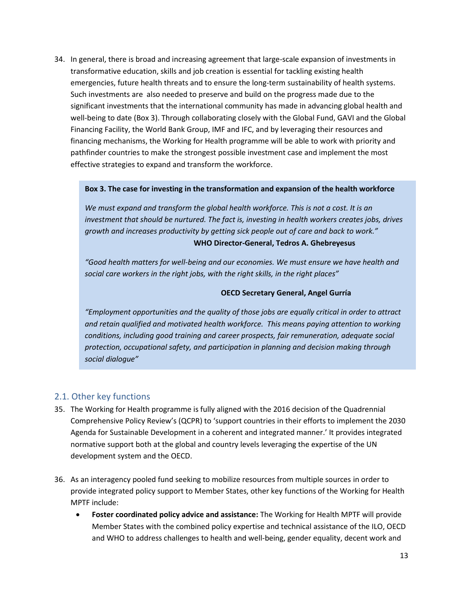34. In general, there is broad and increasing agreement that large-scale expansion of investments in transformative education, skills and job creation is essential for tackling existing health emergencies, future health threats and to ensure the long-term sustainability of health systems. Such investments are also needed to preserve and build on the progress made due to the significant investments that the international community has made in advancing global health and well-being to date (Box 3). Through collaborating closely with the Global Fund, GAVI and the Global Financing Facility, the World Bank Group, IMF and IFC, and by leveraging their resources and financing mechanisms, the Working for Health programme will be able to work with priority and pathfinder countries to make the strongest possible investment case and implement the most effective strategies to expand and transform the workforce.

#### **Box 3. The case for investing in the transformation and expansion of the health workforce**

*We must expand and transform the global health workforce. This is not a cost. It is an investment that should be nurtured. The fact is, investing in health workers creates jobs, drives growth and increases productivity by getting sick people out of care and back to work."* **WHO Director-General, Tedros A. Ghebreyesus**

*"Good health matters for well-being and our economies. We must ensure we have health and social care workers in the right jobs, with the right skills, in the right places"*

#### **OECD Secretary General, Angel Gurría**

*"Employment opportunities and the quality of those jobs are equally critical in order to attract and retain qualified and motivated health workforce. This means paying attention to working conditions, including good training and career prospects, fair remuneration, adequate social protection, occupational safety, and participation in planning and decision making through social dialogue"*

#### <span id="page-13-0"></span>2.1. Other key functions

- 35. The Working for Health programme is fully aligned with the 2016 decision of the Quadrennial Comprehensive Policy Review's (QCPR) to 'support countries in their efforts to implement the 2030 Agenda for Sustainable Development in a coherent and integrated manner.' It provides integrated normative support both at the global and country levels leveraging the expertise of the UN development system and the OECD.
- 36. As an interagency pooled fund seeking to mobilize resources from multiple sources in order to provide integrated policy support to Member States, other key functions of the Working for Health MPTF include:
	- **Foster coordinated policy advice and assistance:** The Working for Health MPTF will provide Member States with the combined policy expertise and technical assistance of the ILO, OECD and WHO to address challenges to health and well-being, gender equality, decent work and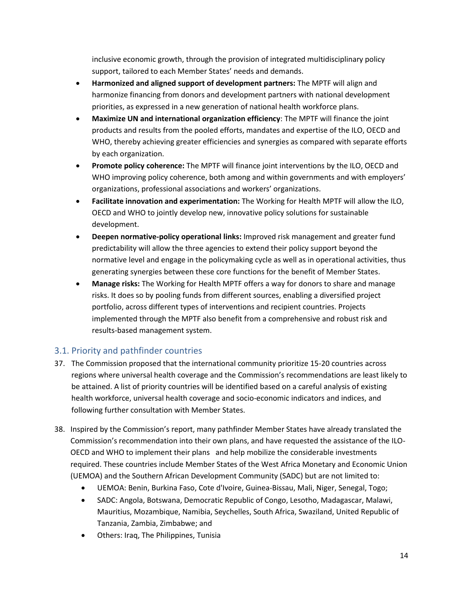inclusive economic growth, through the provision of integrated multidisciplinary policy support, tailored to each Member States' needs and demands.

- **Harmonized and aligned support of development partners:** The MPTF will align and harmonize financing from donors and development partners with national development priorities, as expressed in a new generation of national health workforce plans.
- **Maximize UN and international organization efficiency**: The MPTF will finance the joint products and results from the pooled efforts, mandates and expertise of the ILO, OECD and WHO, thereby achieving greater efficiencies and synergies as compared with separate efforts by each organization.
- **Promote policy coherence:** The MPTF will finance joint interventions by the ILO, OECD and WHO improving policy coherence, both among and within governments and with employers' organizations, professional associations and workers' organizations.
- **Facilitate innovation and experimentation:** The Working for Health MPTF will allow the ILO, OECD and WHO to jointly develop new, innovative policy solutions for sustainable development.
- **Deepen normative-policy operational links:** Improved risk management and greater fund predictability will allow the three agencies to extend their policy support beyond the normative level and engage in the policymaking cycle as well as in operational activities, thus generating synergies between these core functions for the benefit of Member States.
- **Manage risks:** The Working for Health MPTF offers a way for donors to share and manage risks. It does so by pooling funds from different sources, enabling a diversified project portfolio, across different types of interventions and recipient countries. Projects implemented through the MPTF also benefit from a comprehensive and robust risk and results-based management system.

#### <span id="page-14-0"></span>3.1. Priority and pathfinder countries

- 37. The Commission proposed that the international community prioritize 15-20 countries across regions where universal health coverage and the Commission's recommendations are least likely to be attained. A list of priority countries will be identified based on a careful analysis of existing health workforce, universal health coverage and socio-economic indicators and indices, and following further consultation with Member States.
- 38. Inspired by the Commission's report, many pathfinder Member States have already translated the Commission's recommendation into their own plans, and have requested the assistance of the ILO-OECD and WHO to implement their plans and help mobilize the considerable investments required. These countries include Member States of the West Africa Monetary and Economic Union (UEMOA) and the Southern African Development Community (SADC) but are not limited to:
	- UEMOA: Benin, Burkina Faso, Cote d'Ivoire, Guinea-Bissau, Mali, Niger, Senegal, Togo;
	- SADC: Angola, Botswana, Democratic Republic of Congo, Lesotho, Madagascar, Malawi, Mauritius, Mozambique, Namibia, Seychelles, South Africa, Swaziland, United Republic of Tanzania, Zambia, Zimbabwe; and
	- Others: Iraq, The Philippines, Tunisia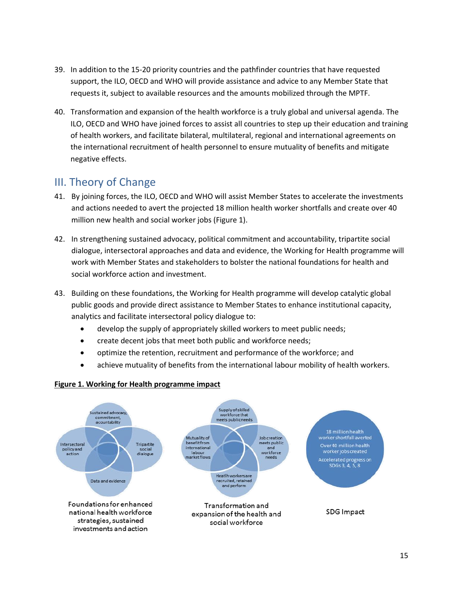- 39. In addition to the 15-20 priority countries and the pathfinder countries that have requested support, the ILO, OECD and WHO will provide assistance and advice to any Member State that requests it, subject to available resources and the amounts mobilized through the MPTF.
- 40. Transformation and expansion of the health workforce is a truly global and universal agenda. The ILO, OECD and WHO have joined forces to assist all countries to step up their education and training of health workers, and facilitate bilateral, multilateral, regional and international agreements on the international recruitment of health personnel to ensure mutuality of benefits and mitigate negative effects.

## <span id="page-15-0"></span>III. Theory of Change

- 41. By joining forces, the ILO, OECD and WHO will assist Member States to accelerate the investments and actions needed to avert the projected 18 million health worker shortfalls and create over 40 million new health and social worker jobs (Figure 1).
- 42. In strengthening sustained advocacy, political commitment and accountability, tripartite social dialogue, intersectoral approaches and data and evidence, the Working for Health programme will work with Member States and stakeholders to bolster the national foundations for health and social workforce action and investment.
- 43. Building on these foundations, the Working for Health programme will develop catalytic global public goods and provide direct assistance to Member States to enhance institutional capacity, analytics and facilitate intersectoral policy dialogue to:
	- develop the supply of appropriately skilled workers to meet public needs;
	- create decent jobs that meet both public and workforce needs;
	- optimize the retention, recruitment and performance of the workforce; and
	- achieve mutuality of benefits from the international labour mobility of health workers.

#### **Figure 1. Working for Health programme impact**

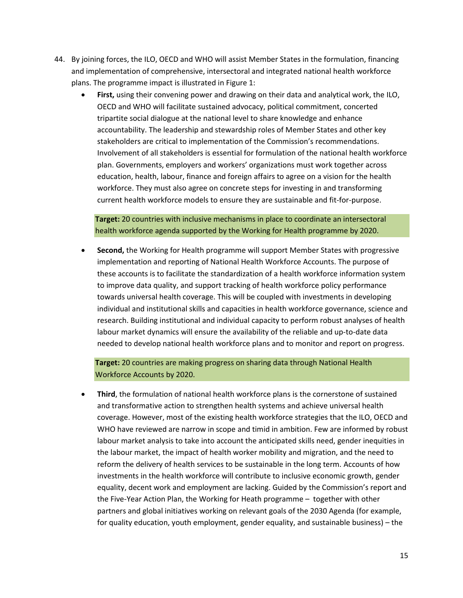- 44. By joining forces, the ILO, OECD and WHO will assist Member States in the formulation, financing and implementation of comprehensive, intersectoral and integrated national health workforce plans. The programme impact is illustrated in Figure 1:
	- **First,** using their convening power and drawing on their data and analytical work, the ILO, OECD and WHO will facilitate sustained advocacy, political commitment, concerted tripartite social dialogue at the national level to share knowledge and enhance accountability. The leadership and stewardship roles of Member States and other key stakeholders are critical to implementation of the Commission's recommendations. Involvement of all stakeholders is essential for formulation of the national health workforce plan. Governments, employers and workers' organizations must work together across education, health, labour, finance and foreign affairs to agree on a vision for the health workforce. They must also agree on concrete steps for investing in and transforming current health workforce models to ensure they are sustainable and fit-for-purpose.

**Target:** 20 countries with inclusive mechanisms in place to coordinate an intersectoral health workforce agenda supported by the Working for Health programme by 2020.

 **Second,** the Working for Health programme will support Member States with progressive implementation and reporting of National Health Workforce Accounts. The purpose of these accounts is to facilitate the standardization of a health workforce information system to improve data quality, and support tracking of health workforce policy performance towards universal health coverage. This will be coupled with investments in developing individual and institutional skills and capacities in health workforce governance, science and research. Building institutional and individual capacity to perform robust analyses of health labour market dynamics will ensure the availability of the reliable and up-to-date data needed to develop national health workforce plans and to monitor and report on progress.

**Target:** 20 countries are making progress on sharing data through National Health Workforce Accounts by 2020.

 **Third**, the formulation of national health workforce plans is the cornerstone of sustained and transformative action to strengthen health systems and achieve universal health coverage. However, most of the existing health workforce strategies that the ILO, OECD and WHO have reviewed are narrow in scope and timid in ambition. Few are informed by robust labour market analysis to take into account the anticipated skills need, gender inequities in the labour market, the impact of health worker mobility and migration, and the need to reform the delivery of health services to be sustainable in the long term. Accounts of how investments in the health workforce will contribute to inclusive economic growth, gender equality, decent work and employment are lacking. Guided by the Commission's report and the Five-Year Action Plan, the Working for Heath programme – together with other partners and global initiatives working on relevant goals of the 2030 Agenda (for example, for quality education, youth employment, gender equality, and sustainable business) – the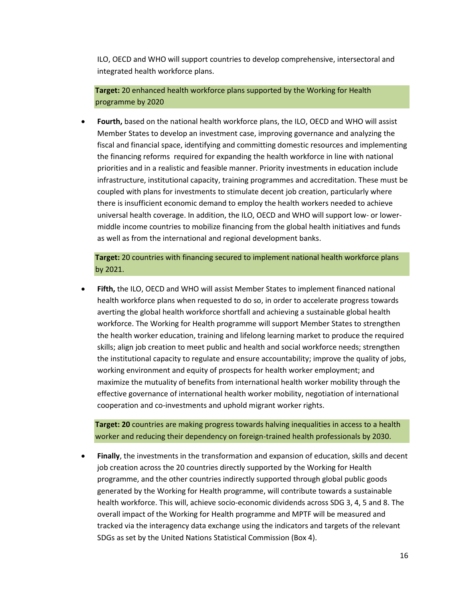ILO, OECD and WHO will support countries to develop comprehensive, intersectoral and integrated health workforce plans.

**Target:** 20 enhanced health workforce plans supported by the Working for Health programme by 2020

 **Fourth,** based on the national health workforce plans, the ILO, OECD and WHO will assist Member States to develop an investment case, improving governance and analyzing the fiscal and financial space, identifying and committing domestic resources and implementing the financing reforms required for expanding the health workforce in line with national priorities and in a realistic and feasible manner. Priority investments in education include infrastructure, institutional capacity, training programmes and accreditation. These must be coupled with plans for investments to stimulate decent job creation, particularly where there is insufficient economic demand to employ the health workers needed to achieve universal health coverage. In addition, the ILO, OECD and WHO will support low- or lowermiddle income countries to mobilize financing from the global health initiatives and funds as well as from the international and regional development banks.

**Target:** 20 countries with financing secured to implement national health workforce plans by 2021.

 **Fifth,** the ILO, OECD and WHO will assist Member States to implement financed national health workforce plans when requested to do so, in order to accelerate progress towards averting the global health workforce shortfall and achieving a sustainable global health workforce. The Working for Health programme will support Member States to strengthen the health worker education, training and lifelong learning market to produce the required skills; align job creation to meet public and health and social workforce needs; strengthen the institutional capacity to regulate and ensure accountability; improve the quality of jobs, working environment and equity of prospects for health worker employment; and maximize the mutuality of benefits from international health worker mobility through the effective governance of international health worker mobility, negotiation of international cooperation and co-investments and uphold migrant worker rights.

**Target: 20** countries are making progress towards halving inequalities in access to a health worker and reducing their dependency on foreign-trained health professionals by 2030.

 **Finally**, the investments in the transformation and expansion of education, skills and decent job creation across the 20 countries directly supported by the Working for Health programme, and the other countries indirectly supported through global public goods generated by the Working for Health programme, will contribute towards a sustainable health workforce. This will, achieve socio-economic dividends across SDG 3, 4, 5 and 8. The overall impact of the Working for Health programme and MPTF will be measured and tracked via the interagency data exchange using the indicators and targets of the relevant SDGs as set by the United Nations Statistical Commission (Box 4).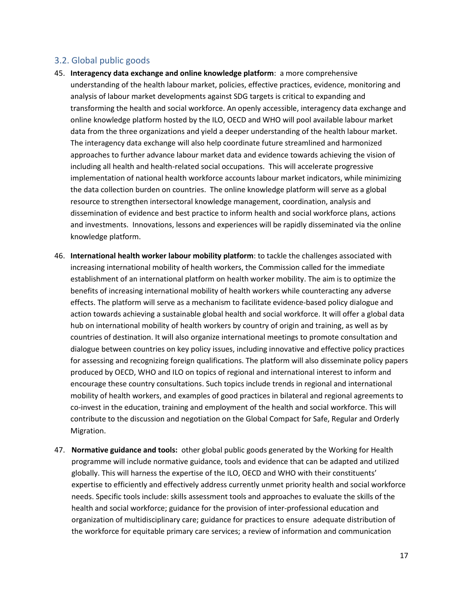#### <span id="page-18-0"></span>3.2. Global public goods

- 45. **Interagency data exchange and online knowledge platform**: a more comprehensive understanding of the health labour market, policies, effective practices, evidence, monitoring and analysis of labour market developments against SDG targets is critical to expanding and transforming the health and social workforce. An openly accessible, interagency data exchange and online knowledge platform hosted by the ILO, OECD and WHO will pool available labour market data from the three organizations and yield a deeper understanding of the health labour market. The interagency data exchange will also help coordinate future streamlined and harmonized approaches to further advance labour market data and evidence towards achieving the vision of including all health and health-related social occupations. This will accelerate progressive implementation of national health workforce accounts labour market indicators, while minimizing the data collection burden on countries. The online knowledge platform will serve as a global resource to strengthen intersectoral knowledge management, coordination, analysis and dissemination of evidence and best practice to inform health and social workforce plans, actions and investments. Innovations, lessons and experiences will be rapidly disseminated via the online knowledge platform.
- 46. **International health worker labour mobility platform**: to tackle the challenges associated with increasing international mobility of health workers, the Commission called for the immediate establishment of an international platform on health worker mobility. The aim is to optimize the benefits of increasing international mobility of health workers while counteracting any adverse effects. The platform will serve as a mechanism to facilitate evidence-based policy dialogue and action towards achieving a sustainable global health and social workforce. It will offer a global data hub on international mobility of health workers by country of origin and training, as well as by countries of destination. It will also organize international meetings to promote consultation and dialogue between countries on key policy issues, including innovative and effective policy practices for assessing and recognizing foreign qualifications. The platform will also disseminate policy papers produced by OECD, WHO and ILO on topics of regional and international interest to inform and encourage these country consultations. Such topics include trends in regional and international mobility of health workers, and examples of good practices in bilateral and regional agreements to co-invest in the education, training and employment of the health and social workforce. This will contribute to the discussion and negotiation on the Global Compact for Safe, Regular and Orderly Migration.
- 47. **Normative guidance and tools:** other global public goods generated by the Working for Health programme will include normative guidance, tools and evidence that can be adapted and utilized globally. This will harness the expertise of the ILO, OECD and WHO with their constituents' expertise to efficiently and effectively address currently unmet priority health and social workforce needs. Specific tools include: skills assessment tools and approaches to evaluate the skills of the health and social workforce; guidance for the provision of inter-professional education and organization of multidisciplinary care; guidance for practices to ensure adequate distribution of the workforce for equitable primary care services; a review of information and communication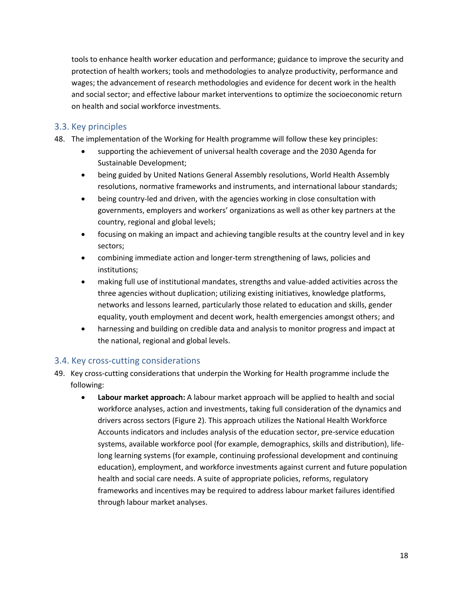tools to enhance health worker education and performance; guidance to improve the security and protection of health workers; tools and methodologies to analyze productivity, performance and wages; the advancement of research methodologies and evidence for decent work in the health and social sector; and effective labour market interventions to optimize the socioeconomic return on health and social workforce investments.

#### <span id="page-19-0"></span>3.3. Key principles

- 48. The implementation of the Working for Health programme will follow these key principles:
	- supporting the achievement of universal health coverage and the 2030 Agenda for Sustainable Development;
	- being guided by United Nations General Assembly resolutions, World Health Assembly resolutions, normative frameworks and instruments, and international labour standards;
	- being country-led and driven, with the agencies working in close consultation with governments, employers and workers' organizations as well as other key partners at the country, regional and global levels;
	- focusing on making an impact and achieving tangible results at the country level and in key sectors;
	- combining immediate action and longer-term strengthening of laws, policies and institutions;
	- making full use of institutional mandates, strengths and value-added activities across the three agencies without duplication; utilizing existing initiatives, knowledge platforms, networks and lessons learned, particularly those related to education and skills, gender equality, youth employment and decent work, health emergencies amongst others; and
	- harnessing and building on credible data and analysis to monitor progress and impact at the national, regional and global levels.

#### <span id="page-19-1"></span>3.4. Key cross-cutting considerations

- 49. Key cross-cutting considerations that underpin the Working for Health programme include the following:
	- **Labour market approach:** A labour market approach will be applied to health and social workforce analyses, action and investments, taking full consideration of the dynamics and drivers across sectors (Figure 2). This approach utilizes the National Health Workforce Accounts indicators and includes analysis of the education sector, pre-service education systems, available workforce pool (for example, demographics, skills and distribution), lifelong learning systems (for example, continuing professional development and continuing education), employment, and workforce investments against current and future population health and social care needs. A suite of appropriate policies, reforms, regulatory frameworks and incentives may be required to address labour market failures identified through labour market analyses.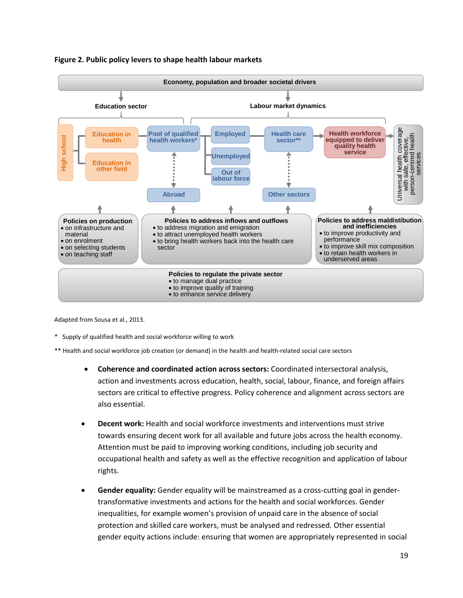

#### **Figure 2. Public policy levers to shape health labour markets**

Adapted from Sousa et al., 2013.

\* Supply of qualified health and social workforce willing to work

\*\* Health and social workforce job creation (or demand) in the health and health-related social care sectors

- **Coherence and coordinated action across sectors:** Coordinated intersectoral analysis, action and investments across education, health, social, labour, finance, and foreign affairs sectors are critical to effective progress. Policy coherence and alignment across sectors are also essential.
- **Decent work:** Health and social workforce investments and interventions must strive towards ensuring decent work for all available and future jobs across the health economy. Attention must be paid to improving working conditions, including job security and occupational health and safety as well as the effective recognition and application of labour rights.
- **Gender equality:** Gender equality will be mainstreamed as a cross-cutting goal in gendertransformative investments and actions for the health and social workforces. Gender inequalities, for example women's provision of unpaid care in the absence of social protection and skilled care workers, must be analysed and redressed. Other essential gender equity actions include: ensuring that women are appropriately represented in social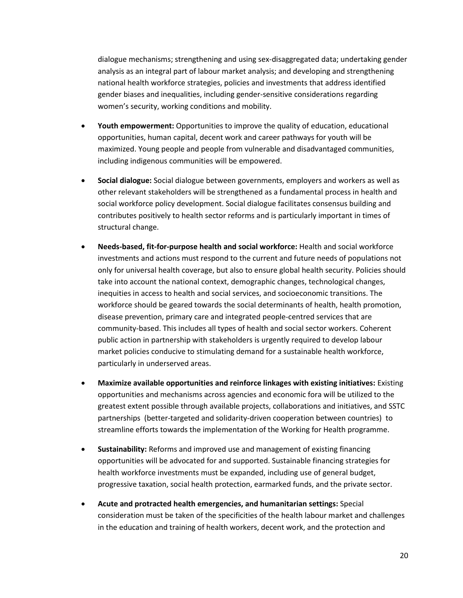dialogue mechanisms; strengthening and using sex-disaggregated data; undertaking gender analysis as an integral part of labour market analysis; and developing and strengthening national health workforce strategies, policies and investments that address identified gender biases and inequalities, including gender-sensitive considerations regarding women's security, working conditions and mobility.

- **Youth empowerment:** Opportunities to improve the quality of education, educational opportunities, human capital, decent work and career pathways for youth will be maximized. Young people and people from vulnerable and disadvantaged communities, including indigenous communities will be empowered.
- **Social dialogue:** Social dialogue between governments, employers and workers as well as other relevant stakeholders will be strengthened as a fundamental process in health and social workforce policy development. Social dialogue facilitates consensus building and contributes positively to health sector reforms and is particularly important in times of structural change.
- **Needs-based, fit-for-purpose health and social workforce:** Health and social workforce investments and actions must respond to the current and future needs of populations not only for universal health coverage, but also to ensure global health security. Policies should take into account the national context, demographic changes, technological changes, inequities in access to health and social services, and socioeconomic transitions. The workforce should be geared towards the social determinants of health, health promotion, disease prevention, primary care and integrated people-centred services that are community-based. This includes all types of health and social sector workers. Coherent public action in partnership with stakeholders is urgently required to develop labour market policies conducive to stimulating demand for a sustainable health workforce, particularly in underserved areas.
- **Maximize available opportunities and reinforce linkages with existing initiatives:** Existing opportunities and mechanisms across agencies and economic fora will be utilized to the greatest extent possible through available projects, collaborations and initiatives, and SSTC partnerships (better-targeted and solidarity-driven cooperation between countries) to streamline efforts towards the implementation of the Working for Health programme.
- **Sustainability:** Reforms and improved use and management of existing financing opportunities will be advocated for and supported. Sustainable financing strategies for health workforce investments must be expanded, including use of general budget, progressive taxation, social health protection, earmarked funds, and the private sector.
- **Acute and protracted health emergencies, and humanitarian settings:** Special consideration must be taken of the specificities of the health labour market and challenges in the education and training of health workers, decent work, and the protection and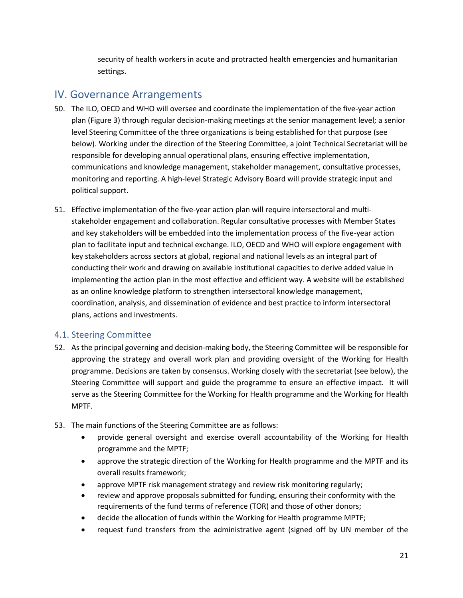security of health workers in acute and protracted health emergencies and humanitarian settings.

## <span id="page-22-0"></span>IV. Governance Arrangements

- 50. The ILO, OECD and WHO will oversee and coordinate the implementation of the five-year action plan (Figure 3) through regular decision-making meetings at the senior management level; a senior level Steering Committee of the three organizations is being established for that purpose (see below). Working under the direction of the Steering Committee, a joint Technical Secretariat will be responsible for developing annual operational plans, ensuring effective implementation, communications and knowledge management, stakeholder management, consultative processes, monitoring and reporting. A high-level Strategic Advisory Board will provide strategic input and political support.
- 51. Effective implementation of the five-year action plan will require intersectoral and multistakeholder engagement and collaboration. Regular consultative processes with Member States and key stakeholders will be embedded into the implementation process of the five-year action plan to facilitate input and technical exchange. ILO, OECD and WHO will explore engagement with key stakeholders across sectors at global, regional and national levels as an integral part of conducting their work and drawing on available institutional capacities to derive added value in implementing the action plan in the most effective and efficient way. A website will be established as an online knowledge platform to strengthen intersectoral knowledge management, coordination, analysis, and dissemination of evidence and best practice to inform intersectoral plans, actions and investments.

#### <span id="page-22-1"></span>4.1. Steering Committee

- 52. As the principal governing and decision-making body, the Steering Committee will be responsible for approving the strategy and overall work plan and providing oversight of the Working for Health programme. Decisions are taken by consensus. Working closely with the secretariat (see below), the Steering Committee will support and guide the programme to ensure an effective impact. It will serve as the Steering Committee for the Working for Health programme and the Working for Health MPTF.
- 53. The main functions of the Steering Committee are as follows:
	- provide general oversight and exercise overall accountability of the Working for Health programme and the MPTF;
	- approve the strategic direction of the Working for Health programme and the MPTF and its overall results framework;
	- approve MPTF risk management strategy and review risk monitoring regularly;
	- review and approve proposals submitted for funding, ensuring their conformity with the requirements of the fund terms of reference (TOR) and those of other donors;
	- decide the allocation of funds within the Working for Health programme MPTF;
	- request fund transfers from the administrative agent (signed off by UN member of the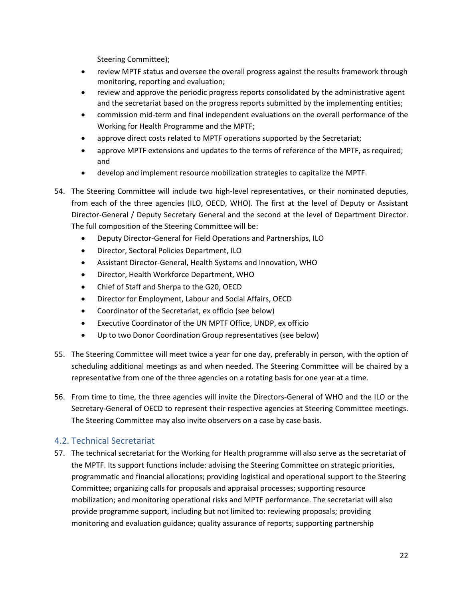Steering Committee);

- review MPTF status and oversee the overall progress against the results framework through monitoring, reporting and evaluation;
- review and approve the periodic progress reports consolidated by the administrative agent and the secretariat based on the progress reports submitted by the implementing entities;
- commission mid-term and final independent evaluations on the overall performance of the Working for Health Programme and the MPTF;
- approve direct costs related to MPTF operations supported by the Secretariat;
- approve MPTF extensions and updates to the terms of reference of the MPTF, as required; and
- develop and implement resource mobilization strategies to capitalize the MPTF.
- 54. The Steering Committee will include two high-level representatives, or their nominated deputies, from each of the three agencies (ILO, OECD, WHO). The first at the level of Deputy or Assistant Director-General / Deputy Secretary General and the second at the level of Department Director. The full composition of the Steering Committee will be:
	- Deputy Director-General for Field Operations and Partnerships, ILO
	- Director, Sectoral Policies Department, ILO
	- Assistant Director-General, Health Systems and Innovation, WHO
	- Director, Health Workforce Department, WHO
	- Chief of Staff and Sherpa to the G20, OECD
	- Director for Employment, Labour and Social Affairs, OECD
	- Coordinator of the Secretariat, ex officio (see below)
	- Executive Coordinator of the UN MPTF Office, UNDP, ex officio
	- Up to two Donor Coordination Group representatives (see below)
- 55. The Steering Committee will meet twice a year for one day, preferably in person, with the option of scheduling additional meetings as and when needed. The Steering Committee will be chaired by a representative from one of the three agencies on a rotating basis for one year at a time.
- 56. From time to time, the three agencies will invite the Directors-General of WHO and the ILO or the Secretary-General of OECD to represent their respective agencies at Steering Committee meetings. The Steering Committee may also invite observers on a case by case basis.

#### <span id="page-23-0"></span>4.2. Technical Secretariat

57. The technical secretariat for the Working for Health programme will also serve as the secretariat of the MPTF. Its support functions include: advising the Steering Committee on strategic priorities, programmatic and financial allocations; providing logistical and operational support to the Steering Committee; organizing calls for proposals and appraisal processes; supporting resource mobilization; and monitoring operational risks and MPTF performance. The secretariat will also provide programme support, including but not limited to: reviewing proposals; providing monitoring and evaluation guidance; quality assurance of reports; supporting partnership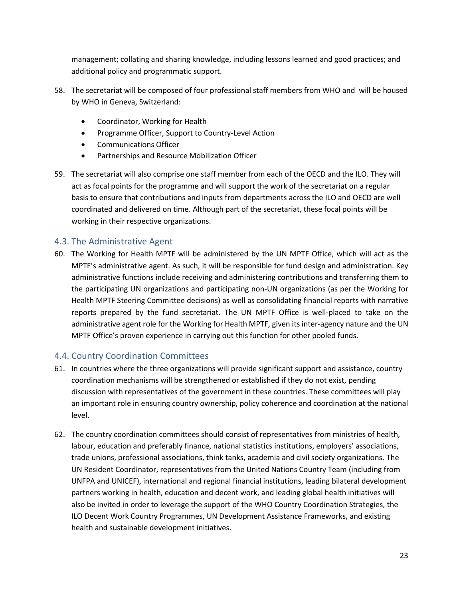management; collating and sharing knowledge, including lessons learned and good practices; and additional policy and programmatic support.

- 58. The secretariat will be composed of four professional staff members from WHO and will be housed by WHO in Geneva, Switzerland:
	- Coordinator, Working for Health
	- Programme Officer, Support to Country-Level Action
	- Communications Officer
	- Partnerships and Resource Mobilization Officer
- 59. The secretariat will also comprise one staff member from each of the OECD and the ILO. They will act as focal points for the programme and will support the work of the secretariat on a regular basis to ensure that contributions and inputs from departments across the ILO and OECD are well coordinated and delivered on time. Although part of the secretariat, these focal points will be working in their respective organizations.

#### <span id="page-24-0"></span>4.3. The Administrative Agent

60. The Working for Health MPTF will be administered by the UN MPTF Office, which will act as the MPTF's administrative agent. As such, it will be responsible for fund design and administration. Key administrative functions include receiving and administering contributions and transferring them to the participating UN organizations and participating non-UN organizations (as per the Working for Health MPTF Steering Committee decisions) as well as consolidating financial reports with narrative reports prepared by the fund secretariat. The UN MPTF Office is well-placed to take on the administrative agent role for the Working for Health MPTF, given its inter-agency nature and the UN MPTF Office's proven experience in carrying out this function for other pooled funds.

#### <span id="page-24-1"></span>4.4. Country Coordination Committees

- 61. In countries where the three organizations will provide significant support and assistance, country coordination mechanisms will be strengthened or established if they do not exist, pending discussion with representatives of the government in these countries. These committees will play an important role in ensuring country ownership, policy coherence and coordination at the national level.
- 62. The country coordination committees should consist of representatives from ministries of health, labour, education and preferably finance, national statistics institutions, employers' associations, trade unions, professional associations, think tanks, academia and civil society organizations. The UN Resident Coordinator, representatives from the United Nations Country Team (including from UNFPA and UNICEF), international and regional financial institutions, leading bilateral development partners working in health, education and decent work, and leading global health initiatives will also be invited in order to leverage the support of the WHO Country Coordination Strategies, the ILO Decent Work Country Programmes, UN Development Assistance Frameworks, and existing health and sustainable development initiatives.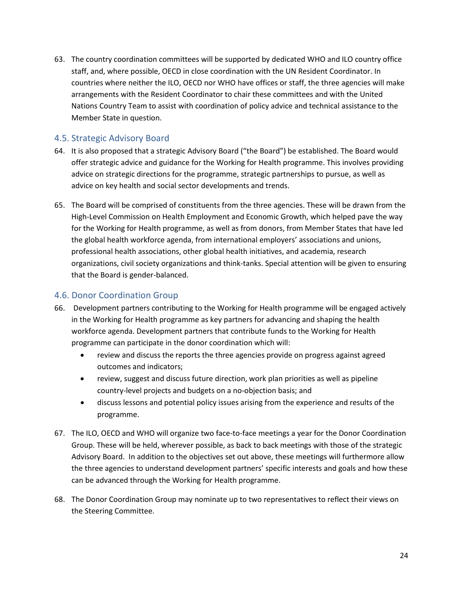63. The country coordination committees will be supported by dedicated WHO and ILO country office staff, and, where possible, OECD in close coordination with the UN Resident Coordinator. In countries where neither the ILO, OECD nor WHO have offices or staff, the three agencies will make arrangements with the Resident Coordinator to chair these committees and with the United Nations Country Team to assist with coordination of policy advice and technical assistance to the Member State in question.

#### <span id="page-25-0"></span>4.5. Strategic Advisory Board

- 64. It is also proposed that a strategic Advisory Board ("the Board") be established. The Board would offer strategic advice and guidance for the Working for Health programme. This involves providing advice on strategic directions for the programme, strategic partnerships to pursue, as well as advice on key health and social sector developments and trends.
- 65. The Board will be comprised of constituents from the three agencies. These will be drawn from the High-Level Commission on Health Employment and Economic Growth, which helped pave the way for the Working for Health programme, as well as from donors, from Member States that have led the global health workforce agenda, from international employers' associations and unions, professional health associations, other global health initiatives, and academia, research organizations, civil society organizations and think-tanks. Special attention will be given to ensuring that the Board is gender-balanced.

#### <span id="page-25-1"></span>4.6. Donor Coordination Group

- 66. Development partners contributing to the Working for Health programme will be engaged actively in the Working for Health programme as key partners for advancing and shaping the health workforce agenda. Development partners that contribute funds to the Working for Health programme can participate in the donor coordination which will:
	- review and discuss the reports the three agencies provide on progress against agreed outcomes and indicators;
	- review, suggest and discuss future direction, work plan priorities as well as pipeline country-level projects and budgets on a no-objection basis; and
	- discuss lessons and potential policy issues arising from the experience and results of the programme.
- 67. The ILO, OECD and WHO will organize two face-to-face meetings a year for the Donor Coordination Group. These will be held, wherever possible, as back to back meetings with those of the strategic Advisory Board. In addition to the objectives set out above, these meetings will furthermore allow the three agencies to understand development partners' specific interests and goals and how these can be advanced through the Working for Health programme.
- 68. The Donor Coordination Group may nominate up to two representatives to reflect their views on the Steering Committee.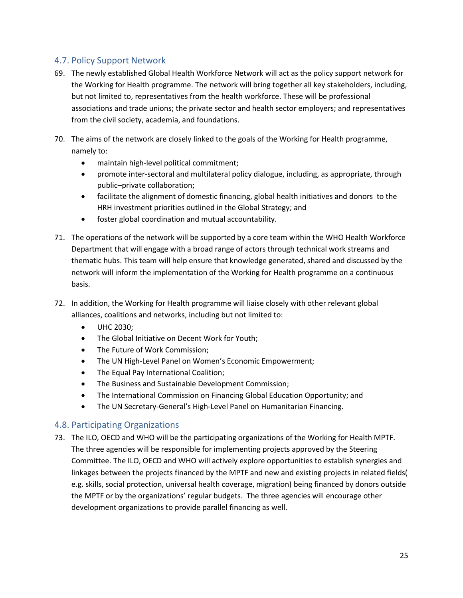#### <span id="page-26-0"></span>4.7. Policy Support Network

- 69. The newly established Global Health Workforce Network will act as the policy support network for the Working for Health programme. The network will bring together all key stakeholders, including, but not limited to, representatives from the health workforce. These will be professional associations and trade unions; the private sector and health sector employers; and representatives from the civil society, academia, and foundations.
- 70. The aims of the network are closely linked to the goals of the Working for Health programme, namely to:
	- maintain high-level political commitment;
	- promote inter-sectoral and multilateral policy dialogue, including, as appropriate, through public–private collaboration;
	- facilitate the alignment of domestic financing, global health initiatives and donors to the HRH investment priorities outlined in the Global Strategy; and
	- foster global coordination and mutual accountability.
- 71. The operations of the network will be supported by a core team within the WHO Health Workforce Department that will engage with a broad range of actors through technical work streams and thematic hubs. This team will help ensure that knowledge generated, shared and discussed by the network will inform the implementation of the Working for Health programme on a continuous basis.
- 72. In addition, the Working for Health programme will liaise closely with other relevant global alliances, coalitions and networks, including but not limited to:
	- UHC 2030:
	- The Global Initiative on Decent Work for Youth;
	- The Future of Work Commission;
	- The UN High-Level Panel on Women's Economic Empowerment;
	- The Equal Pay International Coalition;
	- The Business and Sustainable Development Commission;
	- The International Commission on Financing Global Education Opportunity; and
	- The UN Secretary-General's High-Level Panel on Humanitarian Financing.

#### <span id="page-26-1"></span>4.8. Participating Organizations

73. The ILO, OECD and WHO will be the participating organizations of the Working for Health MPTF. The three agencies will be responsible for implementing projects approved by the Steering Committee. The ILO, OECD and WHO will actively explore opportunities to establish synergies and linkages between the projects financed by the MPTF and new and existing projects in related fields( e.g. skills, social protection, universal health coverage, migration) being financed by donors outside the MPTF or by the organizations' regular budgets. The three agencies will encourage other development organizations to provide parallel financing as well.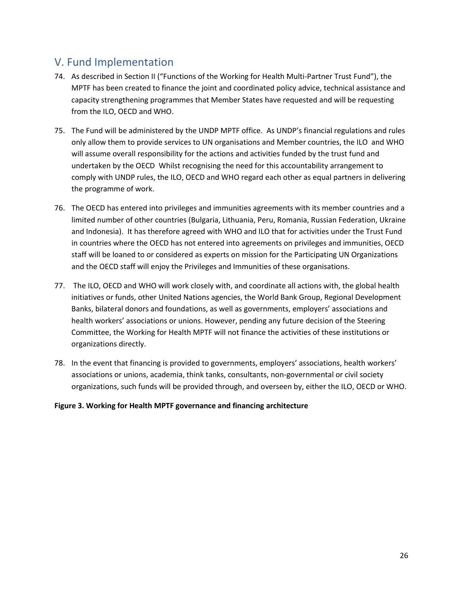## <span id="page-27-0"></span>V. Fund Implementation

- 74. As described in Section II ("Functions of the Working for Health Multi-Partner Trust Fund"), the MPTF has been created to finance the joint and coordinated policy advice, technical assistance and capacity strengthening programmes that Member States have requested and will be requesting from the ILO, OECD and WHO.
- 75. The Fund will be administered by the UNDP MPTF office. As UNDP's financial regulations and rules only allow them to provide services to UN organisations and Member countries, the ILO and WHO will assume overall responsibility for the actions and activities funded by the trust fund and undertaken by the OECD Whilst recognising the need for this accountability arrangement to comply with UNDP rules, the ILO, OECD and WHO regard each other as equal partners in delivering the programme of work.
- 76. The OECD has entered into privileges and immunities agreements with its member countries and a limited number of other countries (Bulgaria, Lithuania, Peru, Romania, Russian Federation, Ukraine and Indonesia). It has therefore agreed with WHO and ILO that for activities under the Trust Fund in countries where the OECD has not entered into agreements on privileges and immunities, OECD staff will be loaned to or considered as experts on mission for the Participating UN Organizations and the OECD staff will enjoy the Privileges and Immunities of these organisations.
- 77. The ILO, OECD and WHO will work closely with, and coordinate all actions with, the global health initiatives or funds, other United Nations agencies, the World Bank Group, Regional Development Banks, bilateral donors and foundations, as well as governments, employers' associations and health workers' associations or unions. However, pending any future decision of the Steering Committee, the Working for Health MPTF will not finance the activities of these institutions or organizations directly.
- 78. In the event that financing is provided to governments, employers' associations, health workers' associations or unions, academia, think tanks, consultants, non-governmental or civil society organizations, such funds will be provided through, and overseen by, either the ILO, OECD or WHO.

#### **Figure 3. Working for Health MPTF governance and financing architecture**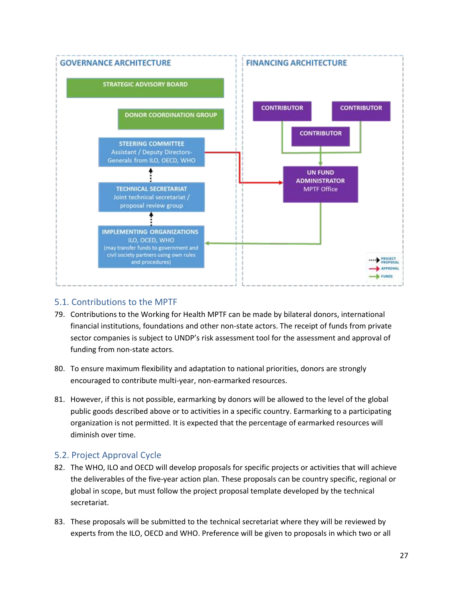

#### <span id="page-28-0"></span>5.1. Contributions to the MPTF

- 79. Contributions to the Working for Health MPTF can be made by bilateral donors, international financial institutions, foundations and other non-state actors. The receipt of funds from private sector companies is subject to UNDP's risk assessment tool for the assessment and approval of funding from non-state actors.
- 80. To ensure maximum flexibility and adaptation to national priorities, donors are strongly encouraged to contribute multi-year, non-earmarked resources.
- 81. However, if this is not possible, earmarking by donors will be allowed to the level of the global public goods described above or to activities in a specific country. Earmarking to a participating organization is not permitted. It is expected that the percentage of earmarked resources will diminish over time.

#### <span id="page-28-1"></span>5.2. Project Approval Cycle

- 82. The WHO, ILO and OECD will develop proposals for specific projects or activities that will achieve the deliverables of the five-year action plan. These proposals can be country specific, regional or global in scope, but must follow the project proposal template developed by the technical secretariat.
- 83. These proposals will be submitted to the technical secretariat where they will be reviewed by experts from the ILO, OECD and WHO. Preference will be given to proposals in which two or all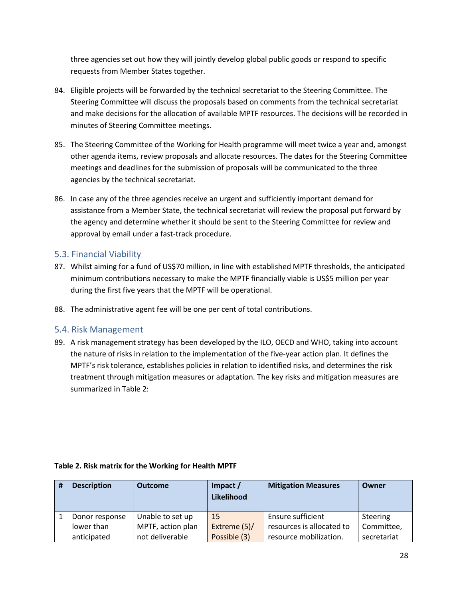three agencies set out how they will jointly develop global public goods or respond to specific requests from Member States together.

- 84. Eligible projects will be forwarded by the technical secretariat to the Steering Committee. The Steering Committee will discuss the proposals based on comments from the technical secretariat and make decisions for the allocation of available MPTF resources. The decisions will be recorded in minutes of Steering Committee meetings.
- 85. The Steering Committee of the Working for Health programme will meet twice a year and, amongst other agenda items, review proposals and allocate resources. The dates for the Steering Committee meetings and deadlines for the submission of proposals will be communicated to the three agencies by the technical secretariat.
- 86. In case any of the three agencies receive an urgent and sufficiently important demand for assistance from a Member State, the technical secretariat will review the proposal put forward by the agency and determine whether it should be sent to the Steering Committee for review and approval by email under a fast-track procedure.

#### <span id="page-29-0"></span>5.3. Financial Viability

- 87. Whilst aiming for a fund of US\$70 million, in line with established MPTF thresholds, the anticipated minimum contributions necessary to make the MPTF financially viable is US\$5 million per year during the first five years that the MPTF will be operational.
- 88. The administrative agent fee will be one per cent of total contributions.

#### <span id="page-29-1"></span>5.4. Risk Management

89. A risk management strategy has been developed by the ILO, OECD and WHO, taking into account the nature of risks in relation to the implementation of the five-year action plan. It defines the MPTF's risk tolerance, establishes policies in relation to identified risks, and determines the risk treatment through mitigation measures or adaptation. The key risks and mitigation measures are summarized in Table 2:

| <b>Description</b> | <b>Outcome</b>    | Impact /<br>Likelihood | <b>Mitigation Measures</b> | Owner       |
|--------------------|-------------------|------------------------|----------------------------|-------------|
| Donor response     | Unable to set up  | <b>15</b>              | Ensure sufficient          | Steering    |
| lower than         | MPTF, action plan | Extreme (5)/           | resources is allocated to  | Committee,  |
| anticipated        | not deliverable   | Possible (3)           | resource mobilization.     | secretariat |

#### **Table 2. Risk matrix for the Working for Health MPTF**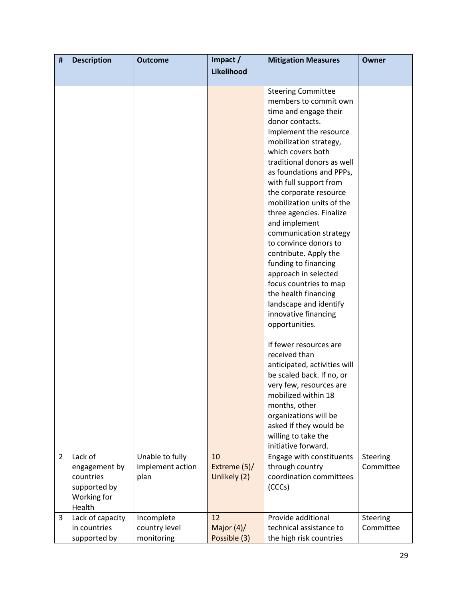| #              | <b>Description</b>                                                             | <b>Outcome</b>                              | Impact /                            | <b>Mitigation Measures</b>                                                                                                                                                                                                                                                                                                                                                                                                                                                                                                                                                                                        | Owner                 |
|----------------|--------------------------------------------------------------------------------|---------------------------------------------|-------------------------------------|-------------------------------------------------------------------------------------------------------------------------------------------------------------------------------------------------------------------------------------------------------------------------------------------------------------------------------------------------------------------------------------------------------------------------------------------------------------------------------------------------------------------------------------------------------------------------------------------------------------------|-----------------------|
|                |                                                                                |                                             | Likelihood                          |                                                                                                                                                                                                                                                                                                                                                                                                                                                                                                                                                                                                                   |                       |
|                |                                                                                |                                             |                                     | <b>Steering Committee</b><br>members to commit own<br>time and engage their<br>donor contacts.<br>Implement the resource<br>mobilization strategy,<br>which covers both<br>traditional donors as well<br>as foundations and PPPs,<br>with full support from<br>the corporate resource<br>mobilization units of the<br>three agencies. Finalize<br>and implement<br>communication strategy<br>to convince donors to<br>contribute. Apply the<br>funding to financing<br>approach in selected<br>focus countries to map<br>the health financing<br>landscape and identify<br>innovative financing<br>opportunities. |                       |
|                |                                                                                |                                             |                                     | If fewer resources are<br>received than<br>anticipated, activities will<br>be scaled back. If no, or<br>very few, resources are<br>mobilized within 18<br>months, other<br>organizations will be<br>asked if they would be<br>willing to take the<br>initiative forward.                                                                                                                                                                                                                                                                                                                                          |                       |
| $\overline{2}$ | Lack of<br>engagement by<br>countries<br>supported by<br>Working for<br>Health | Unable to fully<br>implement action<br>plan | 10<br>Extreme (5)/<br>Unlikely (2)  | Engage with constituents<br>through country<br>coordination committees<br>(CCCs)                                                                                                                                                                                                                                                                                                                                                                                                                                                                                                                                  | Steering<br>Committee |
| 3              | Lack of capacity<br>in countries<br>supported by                               | Incomplete<br>country level<br>monitoring   | 12<br>Major $(4)$ /<br>Possible (3) | Provide additional<br>technical assistance to<br>the high risk countries                                                                                                                                                                                                                                                                                                                                                                                                                                                                                                                                          | Steering<br>Committee |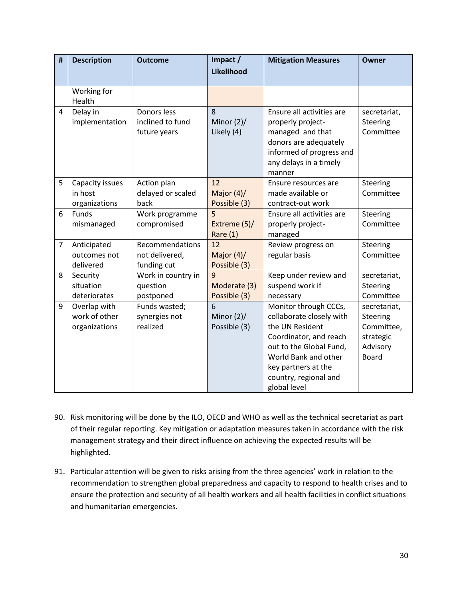| #              | <b>Description</b>     | <b>Outcome</b>            | Impact /<br>Likelihood | <b>Mitigation Measures</b>                     | Owner                 |
|----------------|------------------------|---------------------------|------------------------|------------------------------------------------|-----------------------|
|                |                        |                           |                        |                                                |                       |
|                | Working for            |                           |                        |                                                |                       |
|                | Health                 |                           |                        |                                                |                       |
| 4              | Delay in               | Donors less               | 8                      | Ensure all activities are                      | secretariat,          |
|                | implementation         | inclined to fund          | Minor $(2)$ /          | properly project-                              | Steering              |
|                |                        | future years              | Likely (4)             | managed and that                               | Committee             |
|                |                        |                           |                        | donors are adequately                          |                       |
|                |                        |                           |                        | informed of progress and                       |                       |
|                |                        |                           |                        | any delays in a timely                         |                       |
|                |                        |                           |                        | manner                                         |                       |
| 5              | Capacity issues        | Action plan               | 12                     | Ensure resources are                           | Steering<br>Committee |
|                | in host                | delayed or scaled<br>back | Major $(4)$ /          | made available or                              |                       |
| 6              | organizations<br>Funds | Work programme            | Possible (3)<br>5      | contract-out work<br>Ensure all activities are | Steering              |
|                | mismanaged             | compromised               | Extreme (5)/           | properly project-                              | Committee             |
|                |                        |                           | Rare $(1)$             | managed                                        |                       |
| $\overline{7}$ | Anticipated            | Recommendations           | 12                     | Review progress on                             | Steering              |
|                | outcomes not           | not delivered,            | Major $(4)$ /          | regular basis                                  | Committee             |
|                | delivered              | funding cut               | Possible (3)           |                                                |                       |
| 8              | Security               | Work in country in        | 9                      | Keep under review and                          | secretariat,          |
|                | situation              | question                  | Moderate (3)           | suspend work if                                | Steering              |
|                | deteriorates           | postponed                 | Possible (3)           | necessary                                      | Committee             |
| 9              | Overlap with           | Funds wasted;             | 6                      | Monitor through CCCs,                          | secretariat,          |
|                | work of other          | synergies not             | Minor $(2)$ /          | collaborate closely with                       | Steering              |
|                | organizations          | realized                  | Possible (3)           | the UN Resident                                | Committee,            |
|                |                        |                           |                        | Coordinator, and reach                         | strategic             |
|                |                        |                           |                        | out to the Global Fund,                        | Advisory              |
|                |                        |                           |                        | World Bank and other                           | <b>Board</b>          |
|                |                        |                           |                        | key partners at the                            |                       |
|                |                        |                           |                        | country, regional and                          |                       |
|                |                        |                           |                        | global level                                   |                       |

- 90. Risk monitoring will be done by the ILO, OECD and WHO as well as the technical secretariat as part of their regular reporting. Key mitigation or adaptation measures taken in accordance with the risk management strategy and their direct influence on achieving the expected results will be highlighted.
- 91. Particular attention will be given to risks arising from the three agencies' work in relation to the recommendation to strengthen global preparedness and capacity to respond to health crises and to ensure the protection and security of all health workers and all health facilities in conflict situations and humanitarian emergencies.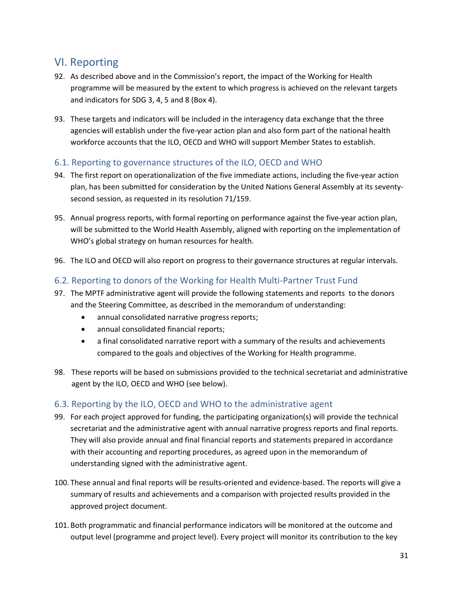## <span id="page-32-0"></span>VI. Reporting

- 92. As described above and in the Commission's report, the impact of the Working for Health programme will be measured by the extent to which progress is achieved on the relevant targets and indicators for SDG 3, 4, 5 and 8 (Box 4).
- 93. These targets and indicators will be included in the interagency data exchange that the three agencies will establish under the five-year action plan and also form part of the national health workforce accounts that the ILO, OECD and WHO will support Member States to establish.

#### <span id="page-32-1"></span>6.1. Reporting to governance structures of the ILO, OECD and WHO

- 94. The first report on operationalization of the five immediate actions, including the five-year action plan, has been submitted for consideration by the United Nations General Assembly at its seventysecond session, as requested in its resolution 71/159.
- 95. Annual progress reports, with formal reporting on performance against the five-year action plan, will be submitted to the World Health Assembly, aligned with reporting on the implementation of WHO's global strategy on human resources for health.
- 96. The ILO and OECD will also report on progress to their governance structures at regular intervals.

#### <span id="page-32-2"></span>6.2. Reporting to donors of the Working for Health Multi-Partner Trust Fund

- 97. The MPTF administrative agent will provide the following statements and reports to the donors and the Steering Committee, as described in the memorandum of understanding:
	- annual consolidated narrative progress reports;
	- annual consolidated financial reports;
	- a final consolidated narrative report with a summary of the results and achievements compared to the goals and objectives of the Working for Health programme.
- 98. These reports will be based on submissions provided to the technical secretariat and administrative agent by the ILO, OECD and WHO (see below).

#### <span id="page-32-3"></span>6.3. Reporting by the ILO, OECD and WHO to the administrative agent

- 99. For each project approved for funding, the participating organization(s) will provide the technical secretariat and the administrative agent with annual narrative progress reports and final reports. They will also provide annual and final financial reports and statements prepared in accordance with their accounting and reporting procedures, as agreed upon in the memorandum of understanding signed with the administrative agent.
- 100. These annual and final reports will be results-oriented and evidence-based. The reports will give a summary of results and achievements and a comparison with projected results provided in the approved project document.
- 101. Both programmatic and financial performance indicators will be monitored at the outcome and output level (programme and project level). Every project will monitor its contribution to the key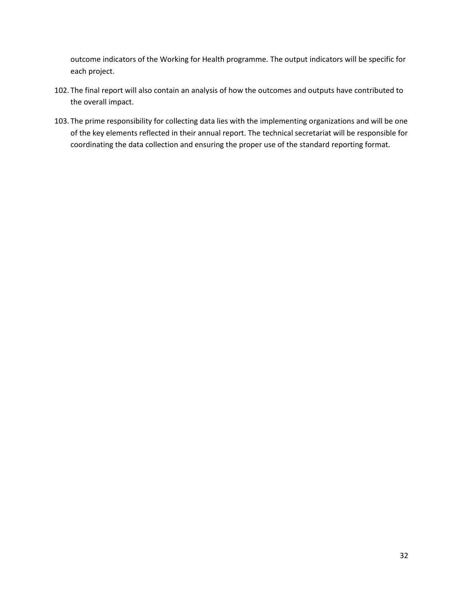outcome indicators of the Working for Health programme. The output indicators will be specific for each project.

- 102. The final report will also contain an analysis of how the outcomes and outputs have contributed to the overall impact.
- 103. The prime responsibility for collecting data lies with the implementing organizations and will be one of the key elements reflected in their annual report. The technical secretariat will be responsible for coordinating the data collection and ensuring the proper use of the standard reporting format.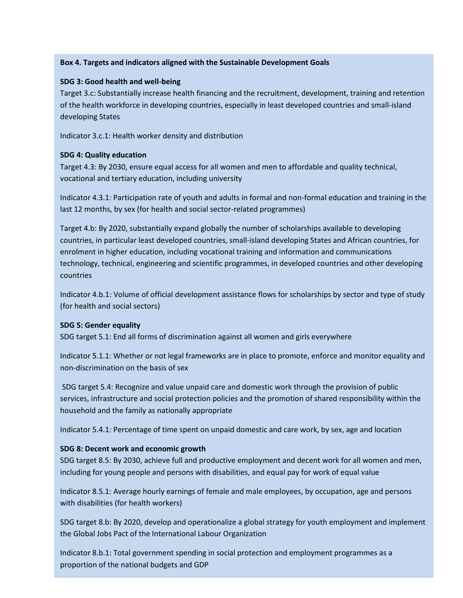#### **Box 4. Targets and indicators aligned with the Sustainable Development Goals**

#### **SDG 3: Good health and well-being**

Target 3.c: Substantially increase health financing and the recruitment, development, training and retention of the health workforce in developing countries, especially in least developed countries and small-island developing States

Indicator 3.c.1: Health worker density and distribution

#### **SDG 4: Quality education**

Target 4.3: By 2030, ensure equal access for all women and men to affordable and quality technical, vocational and tertiary education, including university

Indicator 4.3.1: Participation rate of youth and adults in formal and non-formal education and training in the last 12 months, by sex (for health and social sector-related programmes)

Target 4.b: By 2020, substantially expand globally the number of scholarships available to developing countries, in particular least developed countries, small-island developing States and African countries, for enrolment in higher education, including vocational training and information and communications technology, technical, engineering and scientific programmes, in developed countries and other developing countries

Indicator 4.b.1: Volume of official development assistance flows for scholarships by sector and type of study (for health and social sectors)

#### **SDG 5: Gender equality**

SDG target 5.1: End all forms of discrimination against all women and girls everywhere

Indicator 5.1.1: Whether or not legal frameworks are in place to promote, enforce and monitor equality and non-discrimination on the basis of sex

SDG target 5.4: Recognize and value unpaid care and domestic work through the provision of public services, infrastructure and social protection policies and the promotion of shared responsibility within the household and the family as nationally appropriate

Indicator 5.4.1: Percentage of time spent on unpaid domestic and care work, by sex, age and location

#### **SDG 8: Decent work and economic growth**

SDG target 8.5: By 2030, achieve full and productive employment and decent work for all women and men, including for young people and persons with disabilities, and equal pay for work of equal value

Indicator 8.5.1: Average hourly earnings of female and male employees, by occupation, age and persons with disabilities (for health workers)

SDG target 8.b: By 2020, develop and operationalize a global strategy for youth employment and implement the Global Jobs Pact of the International Labour Organization

Indicator 8.b.1: Total government spending in social protection and employment programmes as a proportion of the national budgets and GDP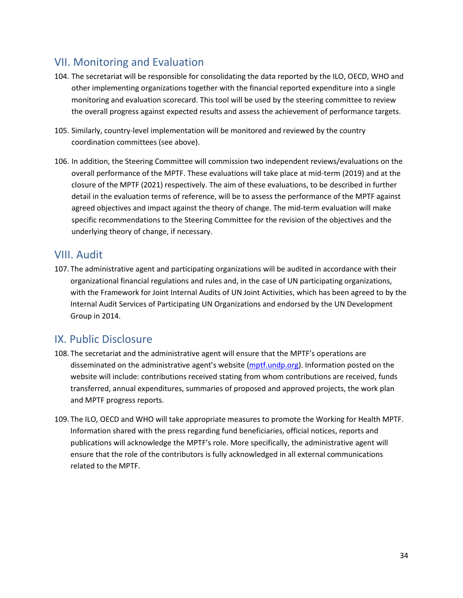## <span id="page-35-0"></span>VII. Monitoring and Evaluation

- 104. The secretariat will be responsible for consolidating the data reported by the ILO, OECD, WHO and other implementing organizations together with the financial reported expenditure into a single monitoring and evaluation scorecard. This tool will be used by the steering committee to review the overall progress against expected results and assess the achievement of performance targets.
- 105. Similarly, country-level implementation will be monitored and reviewed by the country coordination committees (see above).
- 106. In addition, the Steering Committee will commission two independent reviews/evaluations on the overall performance of the MPTF. These evaluations will take place at mid-term (2019) and at the closure of the MPTF (2021) respectively. The aim of these evaluations, to be described in further detail in the evaluation terms of reference, will be to assess the performance of the MPTF against agreed objectives and impact against the theory of change. The mid-term evaluation will make specific recommendations to the Steering Committee for the revision of the objectives and the underlying theory of change, if necessary.

## <span id="page-35-1"></span>VIII. Audit

107. The administrative agent and participating organizations will be audited in accordance with their organizational financial regulations and rules and, in the case of UN participating organizations, with the [Framework for Joint Internal Audits of UN Joint Activities,](http://mptf.undp.org/document/download/13486) which has been agreed to by the Internal Audit Services of Participating UN Organizations and endorsed by the UN Development Group in 2014.

## <span id="page-35-2"></span>IX. Public Disclosure

- 108. The secretariat and the administrative agent will ensure that the MPTF's operations are disseminated on the administrative agent's website [\(mptf.undp.org\)](http://mptf.undp.org/). Information posted on the website will include: contributions received stating from whom contributions are received, funds transferred, annual expenditures, summaries of proposed and approved projects, the work plan and MPTF progress reports.
- 109. The ILO, OECD and WHO will take appropriate measures to promote the Working for Health MPTF. Information shared with the press regarding fund beneficiaries, official notices, reports and publications will acknowledge the MPTF's role. More specifically, the administrative agent will ensure that the role of the contributors is fully acknowledged in all external communications related to the MPTF.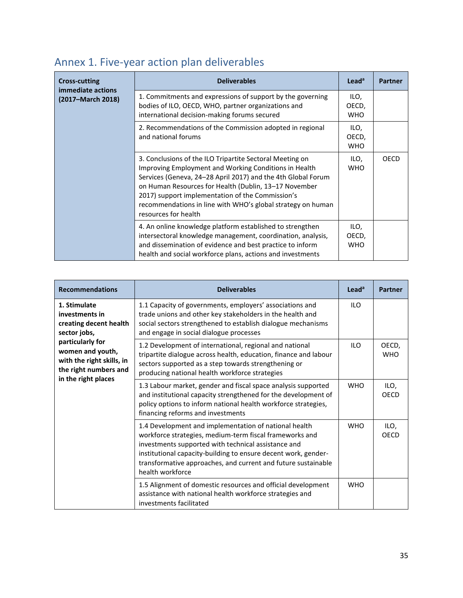# <span id="page-36-0"></span>Annex 1. Five-year action plan deliverables

| <b>Cross-cutting</b><br>immediate actions | <b>Deliverables</b>                                                                                                                                                                                                                                                                                                                                                                   | Lead <sup>a</sup>           | <b>Partner</b> |
|-------------------------------------------|---------------------------------------------------------------------------------------------------------------------------------------------------------------------------------------------------------------------------------------------------------------------------------------------------------------------------------------------------------------------------------------|-----------------------------|----------------|
| (2017–March 2018)                         | 1. Commitments and expressions of support by the governing<br>bodies of ILO, OECD, WHO, partner organizations and<br>international decision-making forums secured                                                                                                                                                                                                                     | ILO,<br>OECD,<br><b>WHO</b> |                |
|                                           | 2. Recommendations of the Commission adopted in regional<br>and national forums                                                                                                                                                                                                                                                                                                       | ILO,<br>OECD,<br><b>WHO</b> |                |
|                                           | 3. Conclusions of the ILO Tripartite Sectoral Meeting on<br>Improving Employment and Working Conditions in Health<br>Services (Geneva, 24-28 April 2017) and the 4th Global Forum<br>on Human Resources for Health (Dublin, 13-17 November<br>2017) support implementation of the Commission's<br>recommendations in line with WHO's global strategy on human<br>resources for health | ILO,<br><b>WHO</b>          | OECD           |
|                                           | 4. An online knowledge platform established to strengthen<br>intersectoral knowledge management, coordination, analysis,<br>and dissemination of evidence and best practice to inform<br>health and social workforce plans, actions and investments                                                                                                                                   | ILO,<br>OECD,<br><b>WHO</b> |                |

| <b>Recommendations</b>                                                                                            | <b>Deliverables</b>                                                                                                                                                                                                                                                                                                            | Lead <sup>a</sup> | <b>Partner</b>      |
|-------------------------------------------------------------------------------------------------------------------|--------------------------------------------------------------------------------------------------------------------------------------------------------------------------------------------------------------------------------------------------------------------------------------------------------------------------------|-------------------|---------------------|
| 1. Stimulate<br>investments in<br>creating decent health<br>sector jobs,                                          | 1.1 Capacity of governments, employers' associations and<br>trade unions and other key stakeholders in the health and<br>social sectors strengthened to establish dialogue mechanisms<br>and engage in social dialogue processes                                                                                               | ILO               |                     |
| particularly for<br>women and youth,<br>with the right skills, in<br>the right numbers and<br>in the right places | 1.2 Development of international, regional and national<br>tripartite dialogue across health, education, finance and labour<br>sectors supported as a step towards strengthening or<br>producing national health workforce strategies                                                                                          | <b>ILO</b>        | OECD,<br><b>WHO</b> |
|                                                                                                                   | 1.3 Labour market, gender and fiscal space analysis supported<br>and institutional capacity strengthened for the development of<br>policy options to inform national health workforce strategies,<br>financing reforms and investments                                                                                         | <b>WHO</b>        | ILO,<br>OECD        |
|                                                                                                                   | 1.4 Development and implementation of national health<br>workforce strategies, medium-term fiscal frameworks and<br>investments supported with technical assistance and<br>institutional capacity-building to ensure decent work, gender-<br>transformative approaches, and current and future sustainable<br>health workforce | <b>WHO</b>        | ILO,<br><b>OECD</b> |
|                                                                                                                   | 1.5 Alignment of domestic resources and official development<br>assistance with national health workforce strategies and<br>investments facilitated                                                                                                                                                                            | <b>WHO</b>        |                     |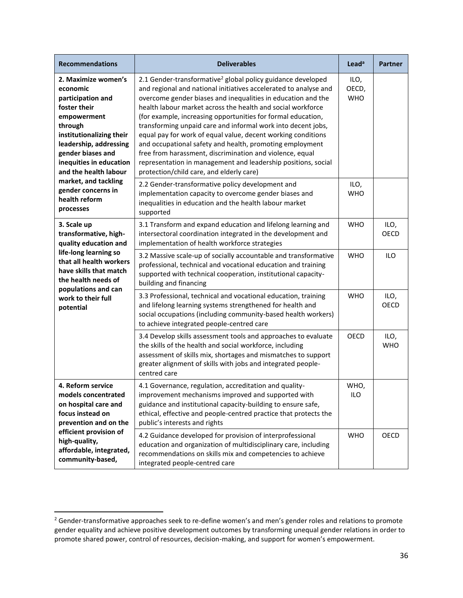| <b>Recommendations</b>                                                                                                                                                                                                        | <b>Deliverables</b>                                                                                                                                                                                                                                                                                                                                                                                                                                                                                                                                                                                                                                                                                             | Lead <sup>a</sup>           | <b>Partner</b>     |
|-------------------------------------------------------------------------------------------------------------------------------------------------------------------------------------------------------------------------------|-----------------------------------------------------------------------------------------------------------------------------------------------------------------------------------------------------------------------------------------------------------------------------------------------------------------------------------------------------------------------------------------------------------------------------------------------------------------------------------------------------------------------------------------------------------------------------------------------------------------------------------------------------------------------------------------------------------------|-----------------------------|--------------------|
| 2. Maximize women's<br>economic<br>participation and<br>foster their<br>empowerment<br>through<br>institutionalizing their<br>leadership, addressing<br>gender biases and<br>inequities in education<br>and the health labour | 2.1 Gender-transformative <sup>2</sup> global policy guidance developed<br>and regional and national initiatives accelerated to analyse and<br>overcome gender biases and inequalities in education and the<br>health labour market across the health and social workforce<br>(for example, increasing opportunities for formal education,<br>transforming unpaid care and informal work into decent jobs,<br>equal pay for work of equal value, decent working conditions<br>and occupational safety and health, promoting employment<br>free from harassment, discrimination and violence, equal<br>representation in management and leadership positions, social<br>protection/child care, and elderly care) | ILO,<br>OECD,<br><b>WHO</b> |                    |
| market, and tackling<br>gender concerns in<br>health reform<br>processes                                                                                                                                                      | 2.2 Gender-transformative policy development and<br>implementation capacity to overcome gender biases and<br>inequalities in education and the health labour market<br>supported                                                                                                                                                                                                                                                                                                                                                                                                                                                                                                                                | ILO,<br><b>WHO</b>          |                    |
| 3. Scale up<br>transformative, high-<br>quality education and                                                                                                                                                                 | 3.1 Transform and expand education and lifelong learning and<br>intersectoral coordination integrated in the development and<br>implementation of health workforce strategies                                                                                                                                                                                                                                                                                                                                                                                                                                                                                                                                   | <b>WHO</b>                  | ILO,<br>OECD       |
| life-long learning so<br>that all health workers<br>have skills that match<br>the health needs of<br>populations and can                                                                                                      | 3.2 Massive scale-up of socially accountable and transformative<br>professional, technical and vocational education and training<br>supported with technical cooperation, institutional capacity-<br>building and financing                                                                                                                                                                                                                                                                                                                                                                                                                                                                                     | <b>WHO</b>                  | <b>ILO</b>         |
| work to their full<br>potential                                                                                                                                                                                               | 3.3 Professional, technical and vocational education, training<br>and lifelong learning systems strengthened for health and<br>social occupations (including community-based health workers)<br>to achieve integrated people-centred care                                                                                                                                                                                                                                                                                                                                                                                                                                                                       | <b>WHO</b>                  | ILO,<br>OECD       |
|                                                                                                                                                                                                                               | 3.4 Develop skills assessment tools and approaches to evaluate<br>the skills of the health and social workforce, including<br>assessment of skills mix, shortages and mismatches to support<br>greater alignment of skills with jobs and integrated people-<br>centred care                                                                                                                                                                                                                                                                                                                                                                                                                                     | <b>OECD</b>                 | ILO,<br><b>WHO</b> |
| 4. Reform service<br>models concentrated<br>on hospital care and<br>focus instead on<br>prevention and on the                                                                                                                 | 4.1 Governance, regulation, accreditation and quality-<br>improvement mechanisms improved and supported with<br>guidance and institutional capacity-building to ensure safe,<br>ethical, effective and people-centred practice that protects the<br>public's interests and rights                                                                                                                                                                                                                                                                                                                                                                                                                               | WHO,<br><b>ILO</b>          |                    |
| efficient provision of<br>high-quality,<br>affordable, integrated,<br>community-based,                                                                                                                                        | 4.2 Guidance developed for provision of interprofessional<br>education and organization of multidisciplinary care, including<br>recommendations on skills mix and competencies to achieve<br>integrated people-centred care                                                                                                                                                                                                                                                                                                                                                                                                                                                                                     | <b>WHO</b>                  | OECD               |

 $\overline{\phantom{a}}$ 

 $2$  Gender-transformative approaches seek to re-define women's and men's gender roles and relations to promote gender equality and achieve positive development outcomes by transforming unequal gender relations in order to promote shared power, control of resources, decision-making, and support for women's empowerment.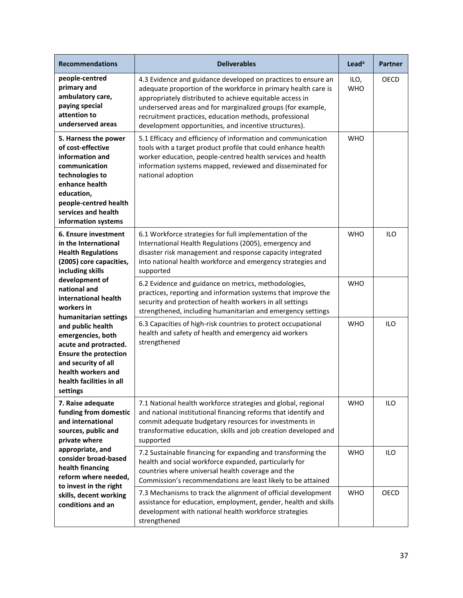| <b>Recommendations</b>                                                                                                                                                                                        | <b>Deliverables</b>                                                                                                                                                                                                                                                                                                                                                           | Lead <sup>a</sup>  | <b>Partner</b> |
|---------------------------------------------------------------------------------------------------------------------------------------------------------------------------------------------------------------|-------------------------------------------------------------------------------------------------------------------------------------------------------------------------------------------------------------------------------------------------------------------------------------------------------------------------------------------------------------------------------|--------------------|----------------|
| people-centred<br>primary and<br>ambulatory care,<br>paying special<br>attention to<br>underserved areas                                                                                                      | 4.3 Evidence and guidance developed on practices to ensure an<br>adequate proportion of the workforce in primary health care is<br>appropriately distributed to achieve equitable access in<br>underserved areas and for marginalized groups (for example,<br>recruitment practices, education methods, professional<br>development opportunities, and incentive structures). | ILO,<br><b>WHO</b> | OECD           |
| 5. Harness the power<br>of cost-effective<br>information and<br>communication<br>technologies to<br>enhance health<br>education,<br>people-centred health<br>services and health<br>information systems       | 5.1 Efficacy and efficiency of information and communication<br>tools with a target product profile that could enhance health<br>worker education, people-centred health services and health<br>information systems mapped, reviewed and disseminated for<br>national adoption                                                                                                | <b>WHO</b>         |                |
| 6. Ensure investment<br>in the International<br><b>Health Regulations</b><br>(2005) core capacities,<br>including skills                                                                                      | 6.1 Workforce strategies for full implementation of the<br>International Health Regulations (2005), emergency and<br>disaster risk management and response capacity integrated<br>into national health workforce and emergency strategies and<br>supported                                                                                                                    | <b>WHO</b>         | <b>ILO</b>     |
| development of<br>national and<br>international health<br>workers in                                                                                                                                          | 6.2 Evidence and guidance on metrics, methodologies,<br>practices, reporting and information systems that improve the<br>security and protection of health workers in all settings<br>strengthened, including humanitarian and emergency settings                                                                                                                             | <b>WHO</b>         |                |
| humanitarian settings<br>and public health<br>emergencies, both<br>acute and protracted.<br><b>Ensure the protection</b><br>and security of all<br>health workers and<br>health facilities in all<br>settings | 6.3 Capacities of high-risk countries to protect occupational<br>health and safety of health and emergency aid workers<br>strengthened                                                                                                                                                                                                                                        | <b>WHO</b>         | <b>ILO</b>     |
| 7. Raise adequate<br>funding from domestic<br>and international<br>sources, public and<br>private where                                                                                                       | 7.1 National health workforce strategies and global, regional<br>and national institutional financing reforms that identify and<br>commit adequate budgetary resources for investments in<br>transformative education, skills and job creation developed and<br>supported                                                                                                     | <b>WHO</b>         | <b>ILO</b>     |
| appropriate, and<br>consider broad-based<br>health financing<br>reform where needed,                                                                                                                          | 7.2 Sustainable financing for expanding and transforming the<br>health and social workforce expanded, particularly for<br>countries where universal health coverage and the<br>Commission's recommendations are least likely to be attained                                                                                                                                   | <b>WHO</b>         | <b>ILO</b>     |
| to invest in the right<br>skills, decent working<br>conditions and an                                                                                                                                         | 7.3 Mechanisms to track the alignment of official development<br>assistance for education, employment, gender, health and skills<br>development with national health workforce strategies<br>strengthened                                                                                                                                                                     | <b>WHO</b>         | OECD           |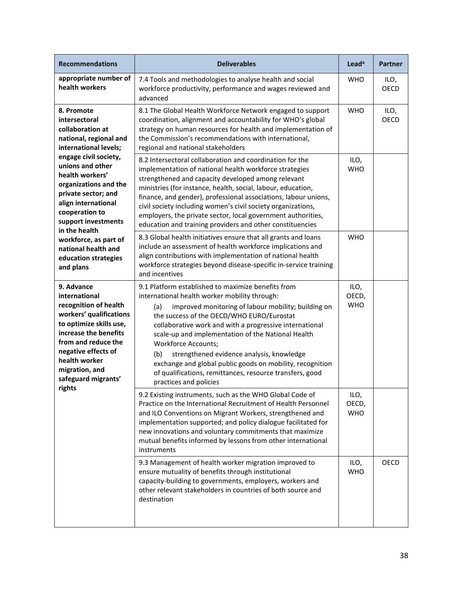| <b>Recommendations</b>                                                                                                                                                                                                                      | <b>Deliverables</b>                                                                                                                                                                                                                                                                                                                                                                                                                                                                                                                                                  | Lead <sup>a</sup>           | <b>Partner</b> |
|---------------------------------------------------------------------------------------------------------------------------------------------------------------------------------------------------------------------------------------------|----------------------------------------------------------------------------------------------------------------------------------------------------------------------------------------------------------------------------------------------------------------------------------------------------------------------------------------------------------------------------------------------------------------------------------------------------------------------------------------------------------------------------------------------------------------------|-----------------------------|----------------|
| appropriate number of<br>health workers                                                                                                                                                                                                     | 7.4 Tools and methodologies to analyse health and social<br>workforce productivity, performance and wages reviewed and<br>advanced                                                                                                                                                                                                                                                                                                                                                                                                                                   | <b>WHO</b>                  | ILO,<br>OECD   |
| 8. Promote<br>intersectoral<br>collaboration at<br>national, regional and<br>international levels;                                                                                                                                          | 8.1 The Global Health Workforce Network engaged to support<br>coordination, alignment and accountability for WHO's global<br>strategy on human resources for health and implementation of<br>the Commission's recommendations with international,<br>regional and national stakeholders                                                                                                                                                                                                                                                                              | <b>WHO</b>                  | ILO,<br>OECD   |
| engage civil society,<br>unions and other<br>health workers'<br>organizations and the<br>private sector; and<br>align international<br>cooperation to<br>support investments                                                                | 8.2 Intersectoral collaboration and coordination for the<br>implementation of national health workforce strategies<br>strengthened and capacity developed among relevant<br>ministries (for instance, health, social, labour, education,<br>finance, and gender), professional associations, labour unions,<br>civil society including women's civil society organizations,<br>employers, the private sector, local government authorities,<br>education and training providers and other constituencies                                                             | ILO,<br><b>WHO</b>          |                |
| in the health<br>workforce, as part of<br>national health and<br>education strategies<br>and plans                                                                                                                                          | 8.3 Global health initiatives ensure that all grants and loans<br>include an assessment of health workforce implications and<br>align contributions with implementation of national health<br>workforce strategies beyond disease-specific in-service training<br>and incentives                                                                                                                                                                                                                                                                                     | <b>WHO</b>                  |                |
| 9. Advance<br>international<br>recognition of health<br>workers' qualifications<br>to optimize skills use,<br>increase the benefits<br>from and reduce the<br>negative effects of<br>health worker<br>migration, and<br>safeguard migrants' | 9.1 Platform established to maximize benefits from<br>international health worker mobility through:<br>(a)<br>improved monitoring of labour mobility; building on<br>the success of the OECD/WHO EURO/Eurostat<br>collaborative work and with a progressive international<br>scale-up and implementation of the National Health<br><b>Workforce Accounts;</b><br>(b)<br>strengthened evidence analysis, knowledge<br>exchange and global public goods on mobility, recognition<br>of qualifications, remittances, resource transfers, good<br>practices and policies | ILO,<br>OECD,<br><b>WHO</b> |                |
| rights                                                                                                                                                                                                                                      | 9.2 Existing instruments, such as the WHO Global Code of<br>Practice on the International Recruitment of Health Personnel<br>and ILO Conventions on Migrant Workers, strengthened and<br>implementation supported; and policy dialogue facilitated for<br>new innovations and voluntary commitments that maximize<br>mutual benefits informed by lessons from other international<br>instruments                                                                                                                                                                     | ILO,<br>OECD,<br><b>WHO</b> |                |
|                                                                                                                                                                                                                                             | 9.3 Management of health worker migration improved to<br>ensure mutuality of benefits through institutional<br>capacity-building to governments, employers, workers and<br>other relevant stakeholders in countries of both source and<br>destination                                                                                                                                                                                                                                                                                                                | ILO,<br><b>WHO</b>          | OECD           |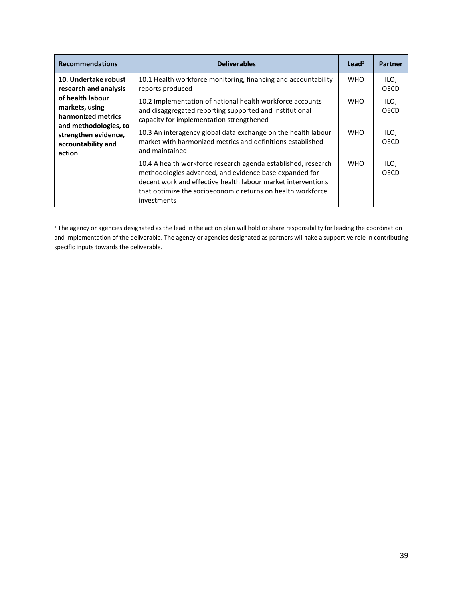| <b>Recommendations</b>                                                        | <b>Deliverables</b>                                                                                                                                                                                                                                                   | $L$ ead <sup>a</sup> | <b>Partner</b>      |
|-------------------------------------------------------------------------------|-----------------------------------------------------------------------------------------------------------------------------------------------------------------------------------------------------------------------------------------------------------------------|----------------------|---------------------|
| 10. Undertake robust<br>research and analysis                                 | 10.1 Health workforce monitoring, financing and accountability<br>reports produced                                                                                                                                                                                    | <b>WHO</b>           | ILO,<br><b>OECD</b> |
| of health labour<br>markets, using<br>harmonized metrics                      | 10.2 Implementation of national health workforce accounts<br>and disaggregated reporting supported and institutional<br>capacity for implementation strengthened                                                                                                      | <b>WHO</b>           | ILO,<br>OECD        |
| and methodologies, to<br>strengthen evidence,<br>accountability and<br>action | 10.3 An interagency global data exchange on the health labour<br>market with harmonized metrics and definitions established<br>and maintained                                                                                                                         | <b>WHO</b>           | ILO,<br>OECD        |
|                                                                               | 10.4 A health workforce research agenda established, research<br>methodologies advanced, and evidence base expanded for<br>decent work and effective health labour market interventions<br>that optimize the socioeconomic returns on health workforce<br>investments | <b>WHO</b>           | ILO,<br>OECD        |

a The agency or agencies designated as the lead in the action plan will hold or share responsibility for leading the coordination and implementation of the deliverable. The agency or agencies designated as partners will take a supportive role in contributing specific inputs towards the deliverable.